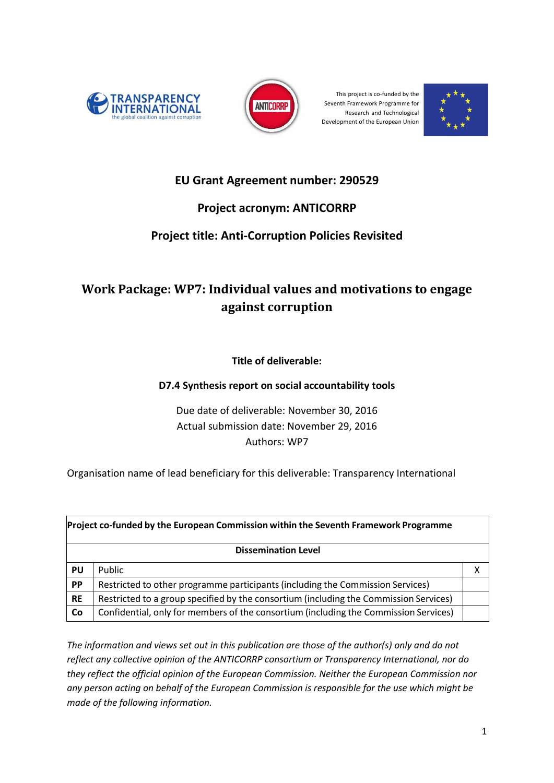



This project is co-funded by the Seventh Framework Programme for Research and Technological Development of the European Union



# **EU Grant Agreement number: 290529**

# **Project acronym: ANTICORRP**

# **Project title: Anti-Corruption Policies Revisited**

# <span id="page-0-0"></span>**Work Package: WP7: Individual values and motivations to engage against corruption**

**Title of deliverable:** 

## **D7.4 Synthesis report on social accountability tools**

Due date of deliverable: November 30, 2016 Actual submission date: November 29, 2016 Authors: WP7

Organisation name of lead beneficiary for this deliverable: Transparency International

| Project co-funded by the European Commission within the Seventh Framework Programme |                                                                                       |  |  |  |  |
|-------------------------------------------------------------------------------------|---------------------------------------------------------------------------------------|--|--|--|--|
| <b>Dissemination Level</b>                                                          |                                                                                       |  |  |  |  |
| PU                                                                                  | Public                                                                                |  |  |  |  |
| <b>PP</b>                                                                           | Restricted to other programme participants (including the Commission Services)        |  |  |  |  |
| <b>RE</b>                                                                           | Restricted to a group specified by the consortium (including the Commission Services) |  |  |  |  |
| Co                                                                                  | Confidential, only for members of the consortium (including the Commission Services)  |  |  |  |  |

*The information and views set out in this publication are those of the author(s) only and do not reflect any collective opinion of the ANTICORRP consortium or Transparency International, nor do they reflect the official opinion of the European Commission. Neither the European Commission nor any person acting on behalf of the European Commission is responsible for the use which might be made of the following information.*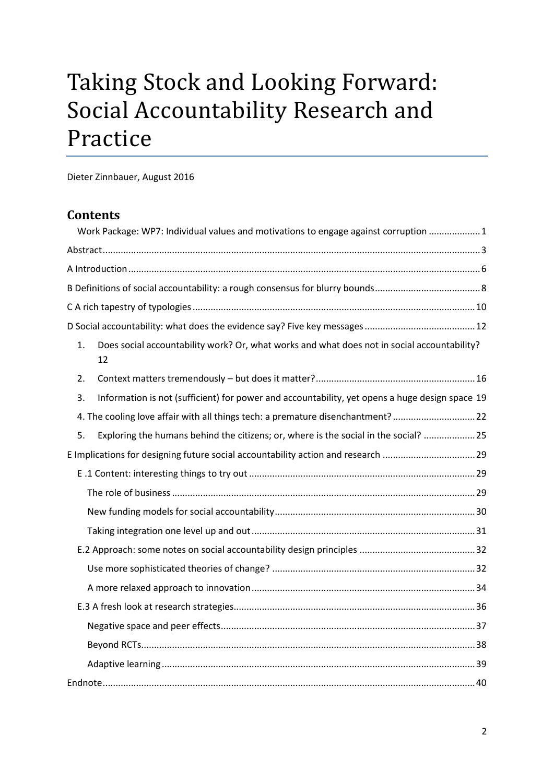# Taking Stock and Looking Forward: Social Accountability Research and Practice

Dieter Zinnbauer, August 2016

## **Contents**

|    | Work Package: WP7: Individual values and motivations to engage against corruption  1              |  |  |
|----|---------------------------------------------------------------------------------------------------|--|--|
|    |                                                                                                   |  |  |
|    |                                                                                                   |  |  |
|    |                                                                                                   |  |  |
|    |                                                                                                   |  |  |
|    |                                                                                                   |  |  |
| 1. | Does social accountability work? Or, what works and what does not in social accountability?<br>12 |  |  |
| 2. |                                                                                                   |  |  |
| 3. | Information is not (sufficient) for power and accountability, yet opens a huge design space 19    |  |  |
|    | 4. The cooling love affair with all things tech: a premature disenchantment? 22                   |  |  |
| 5. | Exploring the humans behind the citizens; or, where is the social in the social?  25              |  |  |
|    |                                                                                                   |  |  |
|    |                                                                                                   |  |  |
|    |                                                                                                   |  |  |
|    |                                                                                                   |  |  |
|    |                                                                                                   |  |  |
|    |                                                                                                   |  |  |
|    |                                                                                                   |  |  |
|    |                                                                                                   |  |  |
|    |                                                                                                   |  |  |
|    |                                                                                                   |  |  |
|    |                                                                                                   |  |  |
|    |                                                                                                   |  |  |
|    |                                                                                                   |  |  |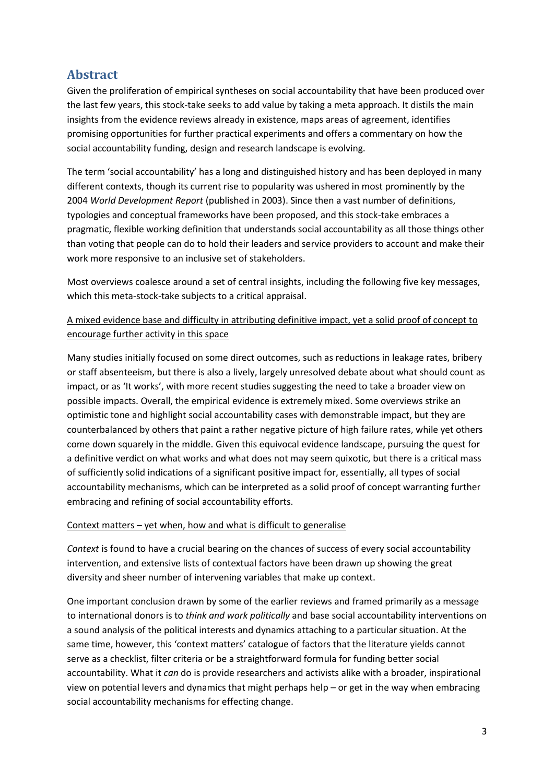# <span id="page-2-0"></span>**Abstract**

Given the proliferation of empirical syntheses on social accountability that have been produced over the last few years, this stock-take seeks to add value by taking a meta approach. It distils the main insights from the evidence reviews already in existence, maps areas of agreement, identifies promising opportunities for further practical experiments and offers a commentary on how the social accountability funding, design and research landscape is evolving.

The term 'social accountability' has a long and distinguished history and has been deployed in many different contexts, though its current rise to popularity was ushered in most prominently by the 2004 *World Development Report* (published in 2003). Since then a vast number of definitions, typologies and conceptual frameworks have been proposed, and this stock-take embraces a pragmatic, flexible working definition that understands social accountability as all those things other than voting that people can do to hold their leaders and service providers to account and make their work more responsive to an inclusive set of stakeholders.

Most overviews coalesce around a set of central insights, including the following five key messages, which this meta-stock-take subjects to a critical appraisal.

## A mixed evidence base and difficulty in attributing definitive impact, yet a solid proof of concept to encourage further activity in this space

Many studies initially focused on some direct outcomes, such as reductions in leakage rates, bribery or staff absenteeism, but there is also a lively, largely unresolved debate about what should count as impact, or as 'It works', with more recent studies suggesting the need to take a broader view on possible impacts. Overall, the empirical evidence is extremely mixed. Some overviews strike an optimistic tone and highlight social accountability cases with demonstrable impact, but they are counterbalanced by others that paint a rather negative picture of high failure rates, while yet others come down squarely in the middle. Given this equivocal evidence landscape, pursuing the quest for a definitive verdict on what works and what does not may seem quixotic, but there is a critical mass of sufficiently solid indications of a significant positive impact for, essentially, all types of social accountability mechanisms, which can be interpreted as a solid proof of concept warranting further embracing and refining of social accountability efforts.

### Context matters – yet when, how and what is difficult to generalise

*Context* is found to have a crucial bearing on the chances of success of every social accountability intervention, and extensive lists of contextual factors have been drawn up showing the great diversity and sheer number of intervening variables that make up context.

One important conclusion drawn by some of the earlier reviews and framed primarily as a message to international donors is to *think and work politically* and base social accountability interventions on a sound analysis of the political interests and dynamics attaching to a particular situation. At the same time, however, this 'context matters' catalogue of factors that the literature yields cannot serve as a checklist, filter criteria or be a straightforward formula for funding better social accountability. What it *can* do is provide researchers and activists alike with a broader, inspirational view on potential levers and dynamics that might perhaps help – or get in the way when embracing social accountability mechanisms for effecting change.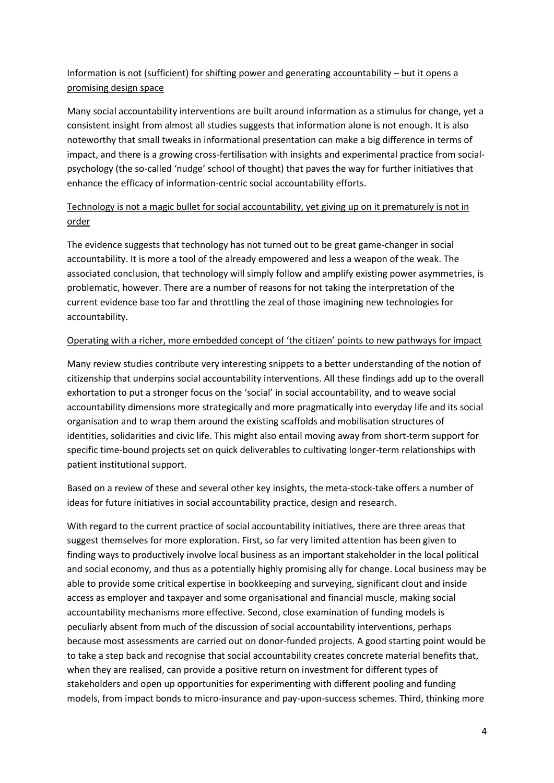## Information is not (sufficient) for shifting power and generating accountability – but it opens a promising design space

Many social accountability interventions are built around information as a stimulus for change, yet a consistent insight from almost all studies suggests that information alone is not enough. It is also noteworthy that small tweaks in informational presentation can make a big difference in terms of impact, and there is a growing cross-fertilisation with insights and experimental practice from socialpsychology (the so-called 'nudge' school of thought) that paves the way for further initiatives that enhance the efficacy of information-centric social accountability efforts.

## Technology is not a magic bullet for social accountability, yet giving up on it prematurely is not in order

The evidence suggests that technology has not turned out to be great game-changer in social accountability. It is more a tool of the already empowered and less a weapon of the weak. The associated conclusion, that technology will simply follow and amplify existing power asymmetries, is problematic, however. There are a number of reasons for not taking the interpretation of the current evidence base too far and throttling the zeal of those imagining new technologies for accountability.

### Operating with a richer, more embedded concept of 'the citizen' points to new pathways for impact

Many review studies contribute very interesting snippets to a better understanding of the notion of citizenship that underpins social accountability interventions. All these findings add up to the overall exhortation to put a stronger focus on the 'social' in social accountability, and to weave social accountability dimensions more strategically and more pragmatically into everyday life and its social organisation and to wrap them around the existing scaffolds and mobilisation structures of identities, solidarities and civic life. This might also entail moving away from short-term support for specific time-bound projects set on quick deliverables to cultivating longer-term relationships with patient institutional support.

Based on a review of these and several other key insights, the meta-stock-take offers a number of ideas for future initiatives in social accountability practice, design and research.

With regard to the current practice of social accountability initiatives, there are three areas that suggest themselves for more exploration. First, so far very limited attention has been given to finding ways to productively involve local business as an important stakeholder in the local political and social economy, and thus as a potentially highly promising ally for change. Local business may be able to provide some critical expertise in bookkeeping and surveying, significant clout and inside access as employer and taxpayer and some organisational and financial muscle, making social accountability mechanisms more effective. Second, close examination of funding models is peculiarly absent from much of the discussion of social accountability interventions, perhaps because most assessments are carried out on donor-funded projects. A good starting point would be to take a step back and recognise that social accountability creates concrete material benefits that, when they are realised, can provide a positive return on investment for different types of stakeholders and open up opportunities for experimenting with different pooling and funding models, from impact bonds to micro-insurance and pay-upon-success schemes. Third, thinking more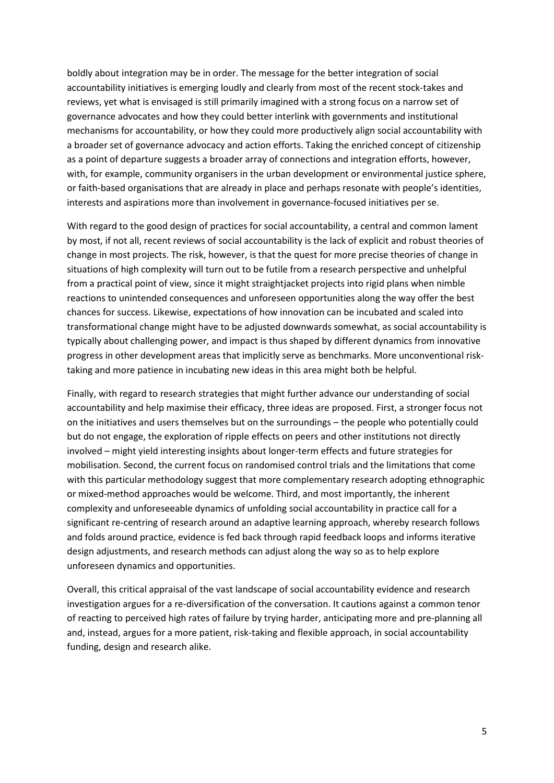boldly about integration may be in order. The message for the better integration of social accountability initiatives is emerging loudly and clearly from most of the recent stock-takes and reviews, yet what is envisaged is still primarily imagined with a strong focus on a narrow set of governance advocates and how they could better interlink with governments and institutional mechanisms for accountability, or how they could more productively align social accountability with a broader set of governance advocacy and action efforts. Taking the enriched concept of citizenship as a point of departure suggests a broader array of connections and integration efforts, however, with, for example, community organisers in the urban development or environmental justice sphere, or faith-based organisations that are already in place and perhaps resonate with people's identities, interests and aspirations more than involvement in governance-focused initiatives per se.

With regard to the good design of practices for social accountability, a central and common lament by most, if not all, recent reviews of social accountability is the lack of explicit and robust theories of change in most projects. The risk, however, is that the quest for more precise theories of change in situations of high complexity will turn out to be futile from a research perspective and unhelpful from a practical point of view, since it might straightjacket projects into rigid plans when nimble reactions to unintended consequences and unforeseen opportunities along the way offer the best chances for success. Likewise, expectations of how innovation can be incubated and scaled into transformational change might have to be adjusted downwards somewhat, as social accountability is typically about challenging power, and impact is thus shaped by different dynamics from innovative progress in other development areas that implicitly serve as benchmarks. More unconventional risktaking and more patience in incubating new ideas in this area might both be helpful.

Finally, with regard to research strategies that might further advance our understanding of social accountability and help maximise their efficacy, three ideas are proposed. First, a stronger focus not on the initiatives and users themselves but on the surroundings – the people who potentially could but do not engage, the exploration of ripple effects on peers and other institutions not directly involved – might yield interesting insights about longer-term effects and future strategies for mobilisation. Second, the current focus on randomised control trials and the limitations that come with this particular methodology suggest that more complementary research adopting ethnographic or mixed-method approaches would be welcome. Third, and most importantly, the inherent complexity and unforeseeable dynamics of unfolding social accountability in practice call for a significant re-centring of research around an adaptive learning approach, whereby research follows and folds around practice, evidence is fed back through rapid feedback loops and informs iterative design adjustments, and research methods can adjust along the way so as to help explore unforeseen dynamics and opportunities.

Overall, this critical appraisal of the vast landscape of social accountability evidence and research investigation argues for a re-diversification of the conversation. It cautions against a common tenor of reacting to perceived high rates of failure by trying harder, anticipating more and pre-planning all and, instead, argues for a more patient, risk-taking and flexible approach, in social accountability funding, design and research alike.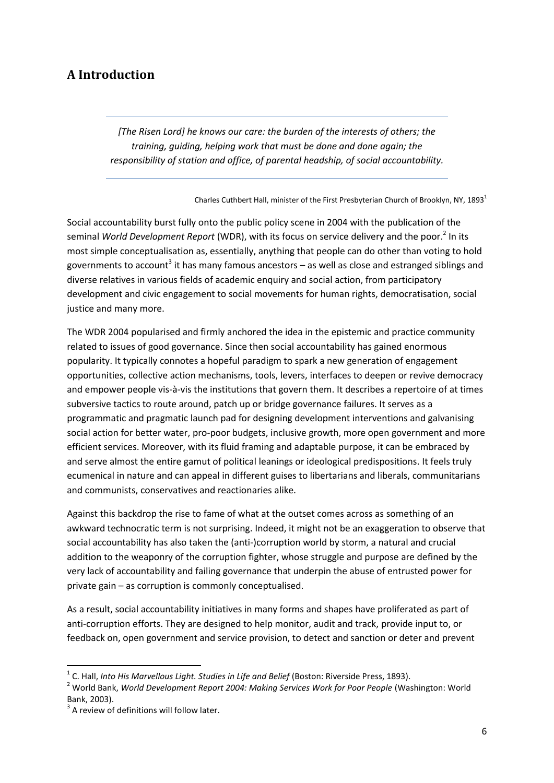# <span id="page-5-0"></span>**A Introduction**

*[The Risen Lord] he knows our care: the burden of the interests of others; the training, guiding, helping work that must be done and done again; the responsibility of station and office, of parental headship, of social accountability.*

Charles Cuthbert Hall, minister of the First Presbyterian Church of Brooklyn, NY, 1893<sup>1</sup>

Social accountability burst fully onto the public policy scene in 2004 with the publication of the seminal *World Development Report* (WDR), with its focus on service delivery and the poor.<sup>2</sup> In its most simple conceptualisation as, essentially, anything that people can do other than voting to hold governments to account<sup>3</sup> it has many famous ancestors – as well as close and estranged siblings and diverse relatives in various fields of academic enquiry and social action, from participatory development and civic engagement to social movements for human rights, democratisation, social justice and many more.

The WDR 2004 popularised and firmly anchored the idea in the epistemic and practice community related to issues of good governance. Since then social accountability has gained enormous popularity. It typically connotes a hopeful paradigm to spark a new generation of engagement opportunities, collective action mechanisms, tools, levers, interfaces to deepen or revive democracy and empower people vis-à-vis the institutions that govern them. It describes a repertoire of at times subversive tactics to route around, patch up or bridge governance failures. It serves as a programmatic and pragmatic launch pad for designing development interventions and galvanising social action for better water, pro-poor budgets, inclusive growth, more open government and more efficient services. Moreover, with its fluid framing and adaptable purpose, it can be embraced by and serve almost the entire gamut of political leanings or ideological predispositions. It feels truly ecumenical in nature and can appeal in different guises to libertarians and liberals, communitarians and communists, conservatives and reactionaries alike.

Against this backdrop the rise to fame of what at the outset comes across as something of an awkward technocratic term is not surprising. Indeed, it might not be an exaggeration to observe that social accountability has also taken the (anti-)corruption world by storm, a natural and crucial addition to the weaponry of the corruption fighter, whose struggle and purpose are defined by the very lack of accountability and failing governance that underpin the abuse of entrusted power for private gain – as corruption is commonly conceptualised.

As a result, social accountability initiatives in many forms and shapes have proliferated as part of anti-corruption efforts. They are designed to help monitor, audit and track, provide input to, or feedback on, open government and service provision, to detect and sanction or deter and prevent

**.** 

<sup>&</sup>lt;sup>1</sup> C. Hall, *Into His Marvellous Light. Studies in Life and Belief* (Boston: Riverside Press, 1893).

<sup>2</sup> World Bank, *World Development Report 2004: Making Services Work for Poor People* (Washington: World Bank, 2003).

 $3$  A review of definitions will follow later.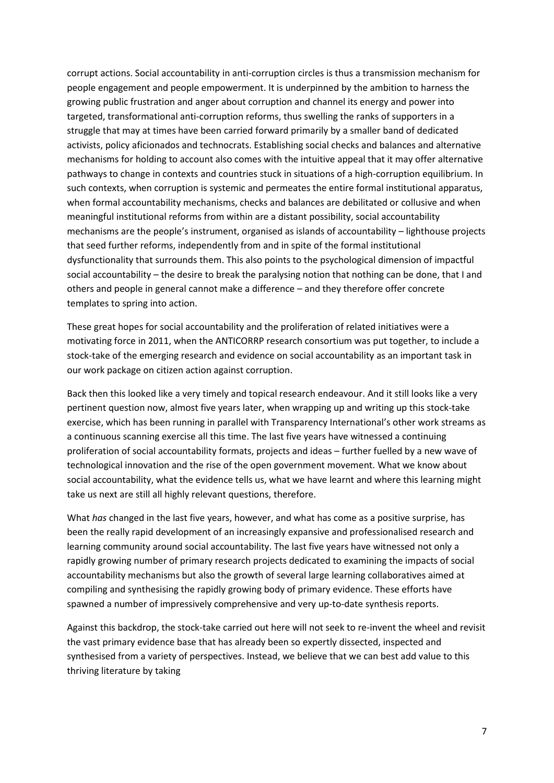corrupt actions. Social accountability in anti-corruption circles is thus a transmission mechanism for people engagement and people empowerment. It is underpinned by the ambition to harness the growing public frustration and anger about corruption and channel its energy and power into targeted, transformational anti-corruption reforms, thus swelling the ranks of supporters in a struggle that may at times have been carried forward primarily by a smaller band of dedicated activists, policy aficionados and technocrats. Establishing social checks and balances and alternative mechanisms for holding to account also comes with the intuitive appeal that it may offer alternative pathways to change in contexts and countries stuck in situations of a high-corruption equilibrium. In such contexts, when corruption is systemic and permeates the entire formal institutional apparatus, when formal accountability mechanisms, checks and balances are debilitated or collusive and when meaningful institutional reforms from within are a distant possibility, social accountability mechanisms are the people's instrument, organised as islands of accountability – lighthouse projects that seed further reforms, independently from and in spite of the formal institutional dysfunctionality that surrounds them. This also points to the psychological dimension of impactful social accountability – the desire to break the paralysing notion that nothing can be done, that I and others and people in general cannot make a difference – and they therefore offer concrete templates to spring into action.

These great hopes for social accountability and the proliferation of related initiatives were a motivating force in 2011, when the ANTICORRP research consortium was put together, to include a stock-take of the emerging research and evidence on social accountability as an important task in our work package on citizen action against corruption.

Back then this looked like a very timely and topical research endeavour. And it still looks like a very pertinent question now, almost five years later, when wrapping up and writing up this stock-take exercise, which has been running in parallel with Transparency International's other work streams as a continuous scanning exercise all this time. The last five years have witnessed a continuing proliferation of social accountability formats, projects and ideas – further fuelled by a new wave of technological innovation and the rise of the open government movement. What we know about social accountability, what the evidence tells us, what we have learnt and where this learning might take us next are still all highly relevant questions, therefore.

What *has* changed in the last five years, however, and what has come as a positive surprise, has been the really rapid development of an increasingly expansive and professionalised research and learning community around social accountability. The last five years have witnessed not only a rapidly growing number of primary research projects dedicated to examining the impacts of social accountability mechanisms but also the growth of several large learning collaboratives aimed at compiling and synthesising the rapidly growing body of primary evidence. These efforts have spawned a number of impressively comprehensive and very up-to-date synthesis reports.

Against this backdrop, the stock-take carried out here will not seek to re-invent the wheel and revisit the vast primary evidence base that has already been so expertly dissected, inspected and synthesised from a variety of perspectives. Instead, we believe that we can best add value to this thriving literature by taking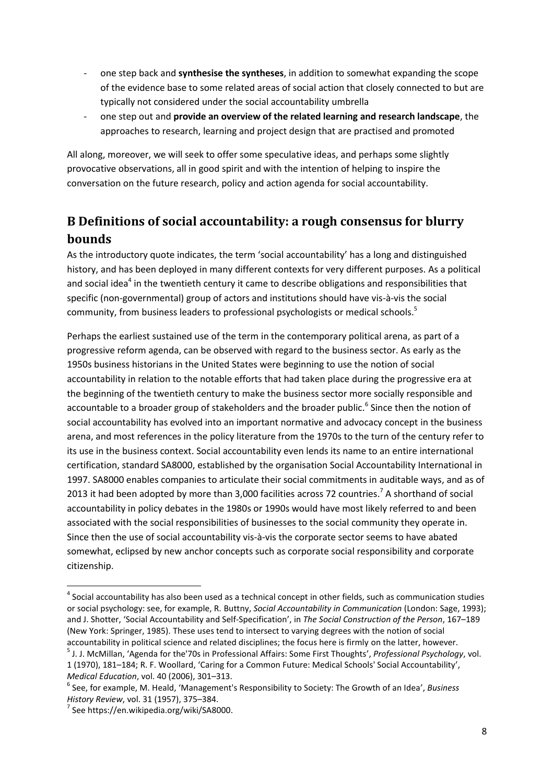- one step back and **synthesise the syntheses**, in addition to somewhat expanding the scope of the evidence base to some related areas of social action that closely connected to but are typically not considered under the social accountability umbrella
- one step out and **provide an overview of the related learning and research landscape**, the approaches to research, learning and project design that are practised and promoted

All along, moreover, we will seek to offer some speculative ideas, and perhaps some slightly provocative observations, all in good spirit and with the intention of helping to inspire the conversation on the future research, policy and action agenda for social accountability.

# <span id="page-7-0"></span>**B Definitions of social accountability: a rough consensus for blurry bounds**

As the introductory quote indicates, the term 'social accountability' has a long and distinguished history, and has been deployed in many different contexts for very different purposes. As a political and social idea<sup>4</sup> in the twentieth century it came to describe obligations and responsibilities that specific (non-governmental) group of actors and institutions should have vis-à-vis the social community, from business leaders to professional psychologists or medical schools.<sup>5</sup>

Perhaps the earliest sustained use of the term in the contemporary political arena, as part of a progressive reform agenda, can be observed with regard to the business sector. As early as the 1950s business historians in the United States were beginning to use the notion of social accountability in relation to the notable efforts that had taken place during the progressive era at the beginning of the twentieth century to make the business sector more socially responsible and accountable to a broader group of stakeholders and the broader public.<sup>6</sup> Since then the notion of social accountability has evolved into an important normative and advocacy concept in the business arena, and most references in the policy literature from the 1970s to the turn of the century refer to its use in the business context. Social accountability even lends its name to an entire international certification, standard SA8000, established by the organisation Social Accountability International in 1997. SA8000 enables companies to articulate their social commitments in auditable ways, and as of 2013 it had been adopted by more than 3,000 facilities across 72 countries.<sup>7</sup> A shorthand of social accountability in policy debates in the 1980s or 1990s would have most likely referred to and been associated with the social responsibilities of businesses to the social community they operate in. Since then the use of social accountability vis-à-vis the corporate sector seems to have abated somewhat, eclipsed by new anchor concepts such as corporate social responsibility and corporate citizenship.

 $<sup>4</sup>$  Social accountability has also been used as a technical concept in other fields, such as communication studies</sup> or social psychology: see, for example, R. Buttny, *Social Accountability in Communication* (London: Sage, 1993); and J. Shotter, 'Social Accountability and Self-Specification', in *The Social Construction of the Person*, 167–189 (New York: Springer, 1985). These uses tend to intersect to varying degrees with the notion of social accountability in political science and related disciplines; the focus here is firmly on the latter, however.

<sup>5</sup> J. J. McMillan, 'Agenda for the'70s in Professional Affairs: Some First Thoughts', *Professional Psychology*, vol. 1 (1970), 181–184; R. F. Woollard, 'Caring for a Common Future: Medical Schools' Social Accountability', *Medical Education*, vol. 40 (2006), 301–313.

<sup>6</sup> See, for example, M. Heald, 'Management's Responsibility to Society: The Growth of an Idea', *Business History Review*, vol. 31 (1957), 375–384.

<sup>7</sup> See https://en.wikipedia.org/wiki/SA8000.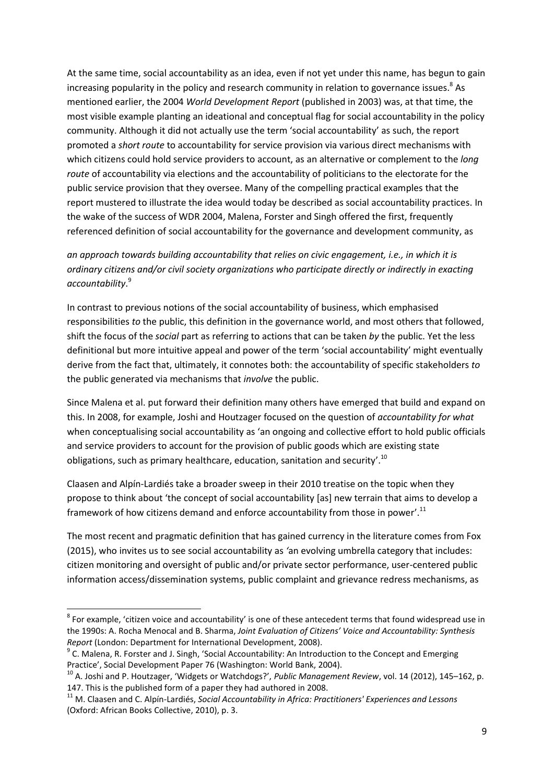At the same time, social accountability as an idea, even if not yet under this name, has begun to gain increasing popularity in the policy and research community in relation to governance issues.<sup>8</sup> As mentioned earlier, the 2004 *World Development Report* (published in 2003) was, at that time, the most visible example planting an ideational and conceptual flag for social accountability in the policy community. Although it did not actually use the term 'social accountability' as such, the report promoted a *short route* to accountability for service provision via various direct mechanisms with which citizens could hold service providers to account, as an alternative or complement to the *long route* of accountability via elections and the accountability of politicians to the electorate for the public service provision that they oversee. Many of the compelling practical examples that the report mustered to illustrate the idea would today be described as social accountability practices. In the wake of the success of WDR 2004, Malena, Forster and Singh offered the first, frequently referenced definition of social accountability for the governance and development community, as

*an approach towards building accountability that relies on civic engagement, i.e., in which it is ordinary citizens and/or civil society organizations who participate directly or indirectly in exacting accountability*. 9

In contrast to previous notions of the social accountability of business, which emphasised responsibilities *to* the public, this definition in the governance world, and most others that followed, shift the focus of the *social* part as referring to actions that can be taken *by* the public. Yet the less definitional but more intuitive appeal and power of the term 'social accountability' might eventually derive from the fact that, ultimately, it connotes both: the accountability of specific stakeholders *to* the public generated via mechanisms that *involve* the public.

Since Malena et al. put forward their definition many others have emerged that build and expand on this. In 2008, for example, Joshi and Houtzager focused on the question of *accountability for what* when conceptualising social accountability as 'an ongoing and collective effort to hold public officials and service providers to account for the provision of public goods which are existing state obligations, such as primary healthcare, education, sanitation and security'.<sup>10</sup>

Claasen and Alpín-Lardiés take a broader sweep in their 2010 treatise on the topic when they propose to think about 'the concept of social accountability [as] new terrain that aims to develop a framework of how citizens demand and enforce accountability from those in power'.<sup>11</sup>

The most recent and pragmatic definition that has gained currency in the literature comes from Fox (2015), who invites us to see social accountability as *'*an evolving umbrella category that includes: citizen monitoring and oversight of public and/or private sector performance, user-centered public information access/dissemination systems, public complaint and grievance redress mechanisms, as

 8 For example, 'citizen voice and accountability' is one of these antecedent terms that found widespread use in the 1990s: A. Rocha Menocal and B. Sharma, *Joint Evaluation of Citizens' Voice and Accountability: Synthesis Report* (London: Department for International Development, 2008).

<sup>&</sup>lt;sup>9</sup> C. Malena, R. Forster and J. Singh, 'Social Accountability: An Introduction to the Concept and Emerging Practice', Social Development Paper 76 (Washington: World Bank, 2004).

<sup>10</sup> A. Joshi and P. Houtzager, 'Widgets or Watchdogs?', *Public Management Review*, vol. 14 (2012), 145–162, p. 147. This is the published form of a paper they had authored in 2008.

<sup>11</sup> M. Claasen and C. Alpín-Lardiés, *Social Accountability in Africa: Practitioners' Experiences and Lessons* (Oxford: African Books Collective, 2010), p. 3.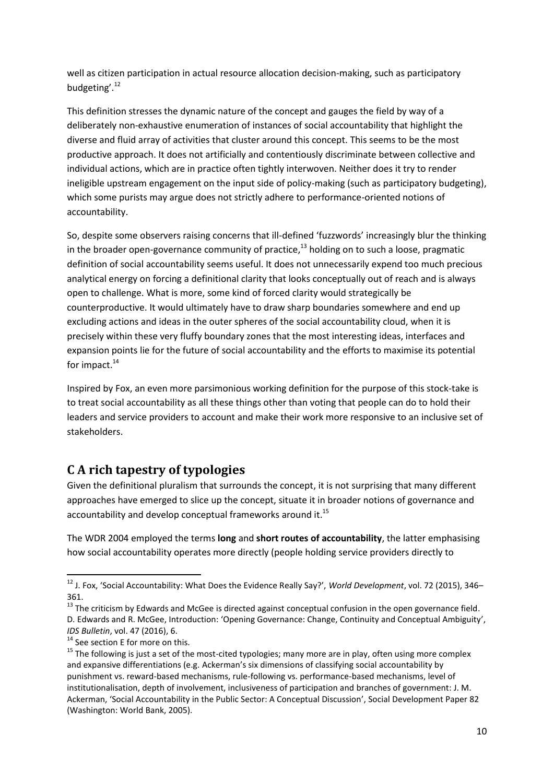well as citizen participation in actual resource allocation decision-making, such as participatory budgeting'. 12

This definition stresses the dynamic nature of the concept and gauges the field by way of a deliberately non-exhaustive enumeration of instances of social accountability that highlight the diverse and fluid array of activities that cluster around this concept. This seems to be the most productive approach. It does not artificially and contentiously discriminate between collective and individual actions, which are in practice often tightly interwoven. Neither does it try to render ineligible upstream engagement on the input side of policy-making (such as participatory budgeting), which some purists may argue does not strictly adhere to performance-oriented notions of accountability.

So, despite some observers raising concerns that ill-defined 'fuzzwords' increasingly blur the thinking in the broader open-governance community of practice,<sup>13</sup> holding on to such a loose, pragmatic definition of social accountability seems useful. It does not unnecessarily expend too much precious analytical energy on forcing a definitional clarity that looks conceptually out of reach and is always open to challenge. What is more, some kind of forced clarity would strategically be counterproductive. It would ultimately have to draw sharp boundaries somewhere and end up excluding actions and ideas in the outer spheres of the social accountability cloud, when it is precisely within these very fluffy boundary zones that the most interesting ideas, interfaces and expansion points lie for the future of social accountability and the efforts to maximise its potential for impact.<sup>14</sup>

Inspired by Fox, an even more parsimonious working definition for the purpose of this stock-take is to treat social accountability as all these things other than voting that people can do to hold their leaders and service providers to account and make their work more responsive to an inclusive set of stakeholders.

# <span id="page-9-0"></span>**C A rich tapestry of typologies**

Given the definitional pluralism that surrounds the concept, it is not surprising that many different approaches have emerged to slice up the concept, situate it in broader notions of governance and accountability and develop conceptual frameworks around it.<sup>15</sup>

The WDR 2004 employed the terms **long** and **short routes of accountability**, the latter emphasising how social accountability operates more directly (people holding service providers directly to

 $\overline{\phantom{a}}$ 

<sup>12</sup> J. Fox, 'Social Accountability: What Does the Evidence Really Say?', *World Development*, vol. 72 (2015), 346– 361.

 $13$  The criticism by Edwards and McGee is directed against conceptual confusion in the open governance field. D. Edwards and R. McGee, Introduction: 'Opening Governance: Change, Continuity and Conceptual Ambiguity', *IDS Bulletin*, vol. 47 (2016), 6.

 $14$  See section E for more on this.

<sup>&</sup>lt;sup>15</sup> The following is just a set of the most-cited typologies; many more are in play, often using more complex and expansive differentiations (e.g. Ackerman's six dimensions of classifying social accountability by punishment vs. reward-based mechanisms, rule-following vs. performance-based mechanisms, level of institutionalisation, depth of involvement, inclusiveness of participation and branches of government: J. M. Ackerman, 'Social Accountability in the Public Sector: A Conceptual Discussion', Social Development Paper 82 (Washington: World Bank, 2005).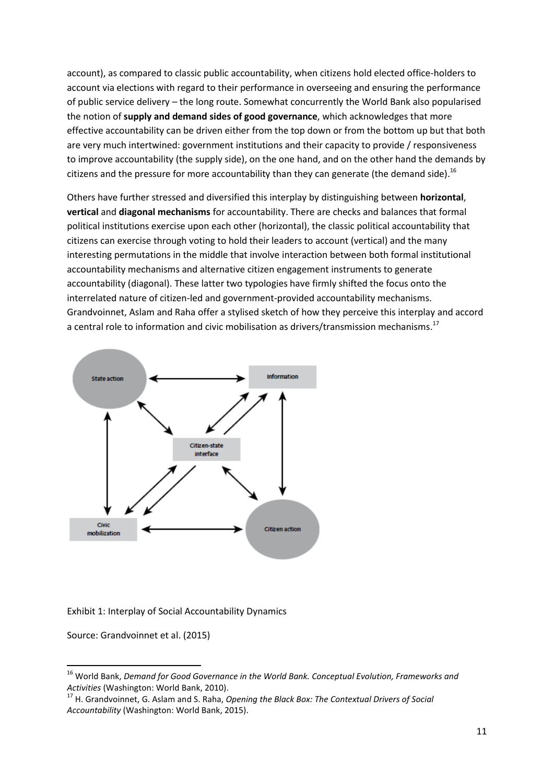account), as compared to classic public accountability, when citizens hold elected office-holders to account via elections with regard to their performance in overseeing and ensuring the performance of public service delivery – the long route. Somewhat concurrently the World Bank also popularised the notion of **supply and demand sides of good governance**, which acknowledges that more effective accountability can be driven either from the top down or from the bottom up but that both are very much intertwined: government institutions and their capacity to provide / responsiveness to improve accountability (the supply side), on the one hand, and on the other hand the demands by citizens and the pressure for more accountability than they can generate (the demand side).<sup>16</sup>

Others have further stressed and diversified this interplay by distinguishing between **horizontal**, **vertical** and **diagonal mechanisms** for accountability. There are checks and balances that formal political institutions exercise upon each other (horizontal), the classic political accountability that citizens can exercise through voting to hold their leaders to account (vertical) and the many interesting permutations in the middle that involve interaction between both formal institutional accountability mechanisms and alternative citizen engagement instruments to generate accountability (diagonal). These latter two typologies have firmly shifted the focus onto the interrelated nature of citizen-led and government-provided accountability mechanisms. Grandvoinnet, Aslam and Raha offer a stylised sketch of how they perceive this interplay and accord a central role to information and civic mobilisation as drivers/transmission mechanisms.<sup>17</sup>



#### Exhibit 1: Interplay of Social Accountability Dynamics

Source: Grandvoinnet et al. (2015)

**.** 

<sup>16</sup> World Bank, *Demand for Good Governance in the World Bank. Conceptual Evolution, Frameworks and Activities* (Washington: World Bank, 2010).

<sup>17</sup> H. Grandvoinnet, G. Aslam and S. Raha, *Opening the Black Box: The Contextual Drivers of Social Accountability* (Washington: World Bank, 2015).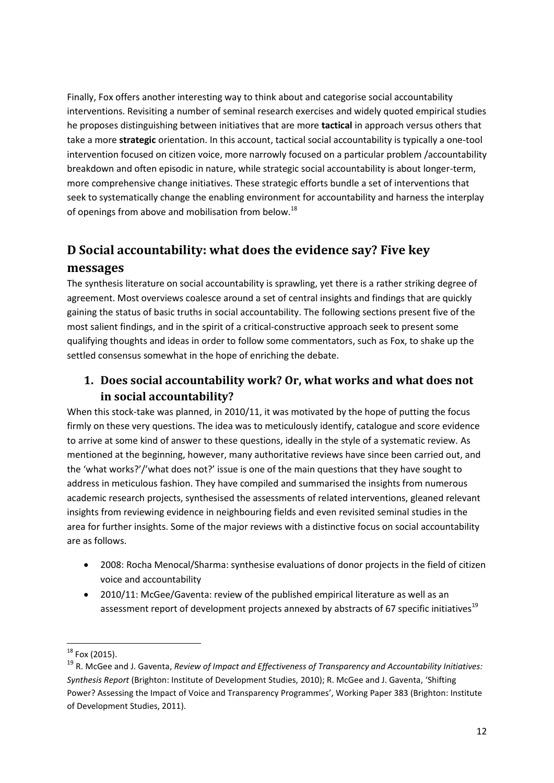Finally, Fox offers another interesting way to think about and categorise social accountability interventions. Revisiting a number of seminal research exercises and widely quoted empirical studies he proposes distinguishing between initiatives that are more **tactical** in approach versus others that take a more **strategic** orientation. In this account, tactical social accountability is typically a one-tool intervention focused on citizen voice, more narrowly focused on a particular problem /accountability breakdown and often episodic in nature, while strategic social accountability is about longer-term, more comprehensive change initiatives. These strategic efforts bundle a set of interventions that seek to systematically change the enabling environment for accountability and harness the interplay of openings from above and mobilisation from below.<sup>18</sup>

# <span id="page-11-0"></span>**D Social accountability: what does the evidence say? Five key messages**

The synthesis literature on social accountability is sprawling, yet there is a rather striking degree of agreement. Most overviews coalesce around a set of central insights and findings that are quickly gaining the status of basic truths in social accountability. The following sections present five of the most salient findings, and in the spirit of a critical-constructive approach seek to present some qualifying thoughts and ideas in order to follow some commentators, such as Fox, to shake up the settled consensus somewhat in the hope of enriching the debate.

# <span id="page-11-1"></span>**1. Does social accountability work? Or, what works and what does not in social accountability?**

When this stock-take was planned, in 2010/11, it was motivated by the hope of putting the focus firmly on these very questions. The idea was to meticulously identify, catalogue and score evidence to arrive at some kind of answer to these questions, ideally in the style of a systematic review. As mentioned at the beginning, however, many authoritative reviews have since been carried out, and the 'what works?'/'what does not?' issue is one of the main questions that they have sought to address in meticulous fashion. They have compiled and summarised the insights from numerous academic research projects, synthesised the assessments of related interventions, gleaned relevant insights from reviewing evidence in neighbouring fields and even revisited seminal studies in the area for further insights. Some of the major reviews with a distinctive focus on social accountability are as follows.

- 2008: Rocha Menocal/Sharma: synthesise evaluations of donor projects in the field of citizen voice and accountability
- 2010/11: McGee/Gaventa: review of the published empirical literature as well as an assessment report of development projects annexed by abstracts of 67 specific initiatives<sup>19</sup>

**<sup>.</sup>**  $^{18}$  Fox (2015).

<sup>19</sup> R. McGee and J. Gaventa, *Review of Impact and Effectiveness of Transparency and Accountability Initiatives: Synthesis Report* (Brighton: Institute of Development Studies, 2010); R. McGee and J. Gaventa, 'Shifting Power? Assessing the Impact of Voice and Transparency Programmes', Working Paper 383 (Brighton: Institute of Development Studies, 2011).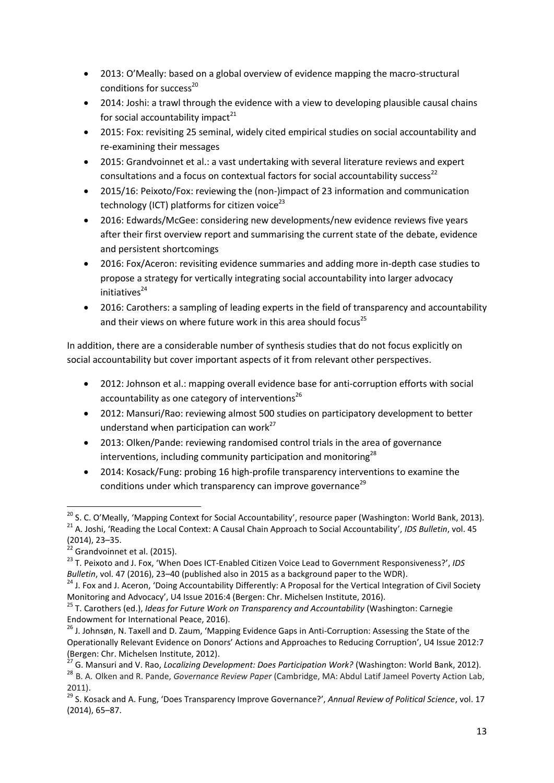- 2013: O'Meally: based on a global overview of evidence mapping the macro-structural conditions for success $^{20}$
- 2014: Joshi: a trawl through the evidence with a view to developing plausible causal chains for social accountability impact $^{21}$
- 2015: Fox: revisiting 25 seminal, widely cited empirical studies on social accountability and re-examining their messages
- 2015: Grandvoinnet et al.: a vast undertaking with several literature reviews and expert consultations and a focus on contextual factors for social accountability success<sup>22</sup>
- 2015/16: Peixoto/Fox: reviewing the (non-)impact of 23 information and communication technology (ICT) platforms for citizen voice $^{23}$
- 2016: Edwards/McGee: considering new developments/new evidence reviews five years after their first overview report and summarising the current state of the debate, evidence and persistent shortcomings
- 2016: Fox/Aceron: revisiting evidence summaries and adding more in-depth case studies to propose a strategy for vertically integrating social accountability into larger advocacy initiatives 24
- 2016: Carothers: a sampling of leading experts in the field of transparency and accountability and their views on where future work in this area should focus<sup>25</sup>

In addition, there are a considerable number of synthesis studies that do not focus explicitly on social accountability but cover important aspects of it from relevant other perspectives.

- 2012: Johnson et al.: mapping overall evidence base for anti-corruption efforts with social accountability as one category of interventions $^{26}$
- 2012: Mansuri/Rao: reviewing almost 500 studies on participatory development to better understand when participation can work<sup>27</sup>
- 2013: Olken/Pande: reviewing randomised control trials in the area of governance interventions, including community participation and monitoring $^{28}$
- 2014: Kosack/Fung: probing 16 high-profile transparency interventions to examine the conditions under which transparency can improve governance<sup>29</sup>

<sup>&</sup>lt;sup>20</sup> S. C. O'Meally, 'Mapping Context for Social Accountability', resource paper (Washington: World Bank, 2013). <sup>21</sup> A. Joshi, 'Reading the Local Context: A Causal Chain Approach to Social Accountability', *IDS Bulletin*, vol. 45 (2014), 23–35.

 $22$  Grandvoinnet et al. (2015).

<sup>23</sup> T. Peixoto and J. Fox, 'When Does ICT-Enabled Citizen Voice Lead to Government Responsiveness?', *IDS Bulletin*, vol. 47 (2016), 23–40 (published also in 2015 as a background paper to the WDR).

 $24$  J. Fox and J. Aceron, 'Doing Accountability Differently: A Proposal for the Vertical Integration of Civil Society Monitoring and Advocacy', U4 Issue 2016:4 (Bergen: Chr. Michelsen Institute, 2016).

<sup>25</sup> T. Carothers (ed.), *Ideas for Future Work on Transparency and Accountability* (Washington: Carnegie Endowment for International Peace, 2016).

<sup>&</sup>lt;sup>26</sup> J. Johnsøn, N. Taxell and D. Zaum, 'Mapping Evidence Gaps in Anti-Corruption: Assessing the State of the Operationally Relevant Evidence on Donors' Actions and Approaches to Reducing Corruption', U4 Issue 2012:7 (Bergen: Chr. Michelsen Institute, 2012).

<sup>27</sup> G. Mansuri and V. Rao, *Localizing Development: Does Participation Work?* (Washington: World Bank, 2012).

<sup>28</sup> B. A. Olken and R. Pande, *Governance Review Paper* (Cambridge, MA: Abdul Latif Jameel Poverty Action Lab, 2011).

<sup>29</sup> S. Kosack and A. Fung, 'Does Transparency Improve Governance?', *Annual Review of Political Science*, vol. 17 (2014), 65–87.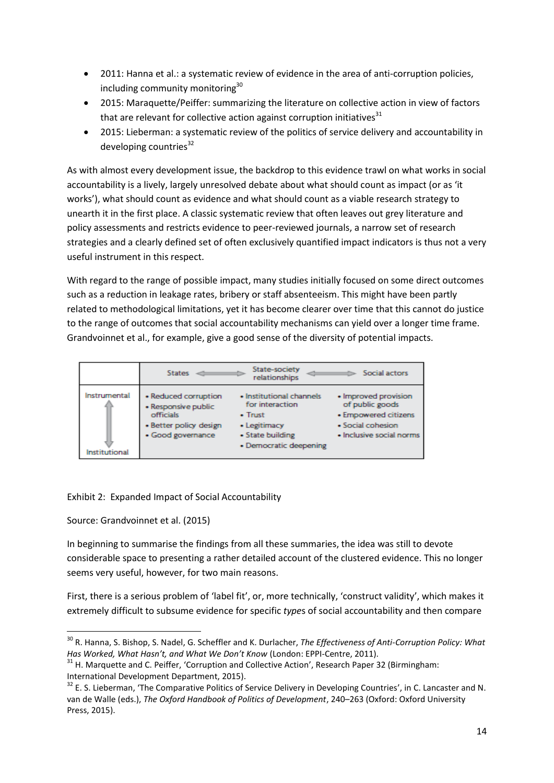- 2011: Hanna et al.: a systematic review of evidence in the area of anti-corruption policies, including community monitoring<sup>30</sup>
- 2015: Maraquette/Peiffer: summarizing the literature on collective action in view of factors that are relevant for collective action against corruption initiatives $31$
- 2015: Lieberman: a systematic review of the politics of service delivery and accountability in developing countries $^{32}$

As with almost every development issue, the backdrop to this evidence trawl on what works in social accountability is a lively, largely unresolved debate about what should count as impact (or as 'it works'), what should count as evidence and what should count as a viable research strategy to unearth it in the first place. A classic systematic review that often leaves out grey literature and policy assessments and restricts evidence to peer-reviewed journals, a narrow set of research strategies and a clearly defined set of often exclusively quantified impact indicators is thus not a very useful instrument in this respect.

With regard to the range of possible impact, many studies initially focused on some direct outcomes such as a reduction in leakage rates, bribery or staff absenteeism. This might have been partly related to methodological limitations, yet it has become clearer over time that this cannot do justice to the range of outcomes that social accountability mechanisms can yield over a longer time frame. Grandvoinnet et al., for example, give a good sense of the diversity of potential impacts.



Exhibit 2: Expanded Impact of Social Accountability

Source: Grandvoinnet et al. (2015)

 $\overline{\phantom{a}}$ 

In beginning to summarise the findings from all these summaries, the idea was still to devote considerable space to presenting a rather detailed account of the clustered evidence. This no longer seems very useful, however, for two main reasons.

First, there is a serious problem of 'label fit', or, more technically, 'construct validity', which makes it extremely difficult to subsume evidence for specific *type*s of social accountability and then compare

<sup>30</sup> R. Hanna, S. Bishop, S. Nadel, G. Scheffler and K. Durlacher, *The Effectiveness of Anti-Corruption Policy: What Has Worked, What Hasn't, and What We Don't Know* (London: EPPI-Centre, 2011).

<sup>&</sup>lt;sup>31</sup> H. Marquette and C. Peiffer, 'Corruption and Collective Action', Research Paper 32 (Birmingham: International Development Department, 2015).

 $32$  E. S. Lieberman, 'The Comparative Politics of Service Delivery in Developing Countries', in C. Lancaster and N. van de Walle (eds.), *The Oxford Handbook of Politics of Development*, 240–263 (Oxford: Oxford University Press, 2015).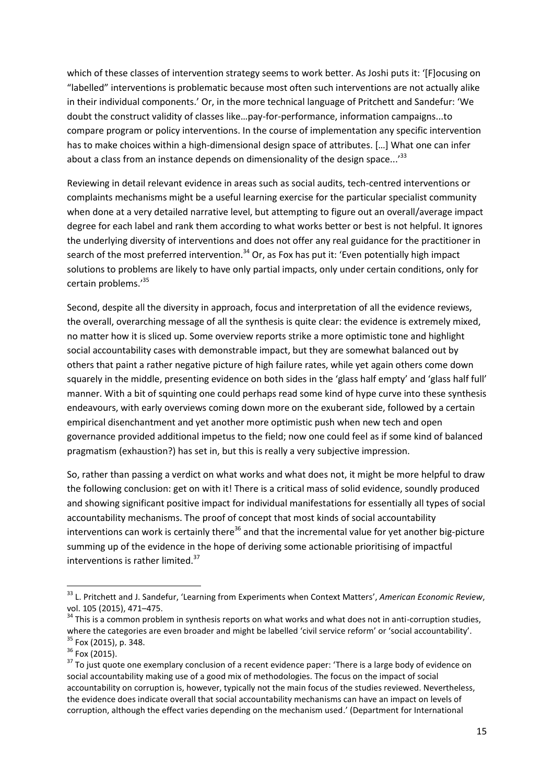which of these classes of intervention strategy seems to work better. As Joshi puts it: '[F]ocusing on "labelled" interventions is problematic because most often such interventions are not actually alike in their individual components.' Or, in the more technical language of Pritchett and Sandefur: 'We doubt the construct validity of classes like…pay-for-performance, information campaigns...to compare program or policy interventions. In the course of implementation any specific intervention has to make choices within a high-dimensional design space of attributes. […] What one can infer about a class from an instance depends on dimensionality of the design space...<sup>'33</sup>

Reviewing in detail relevant evidence in areas such as social audits, tech-centred interventions or complaints mechanisms might be a useful learning exercise for the particular specialist community when done at a very detailed narrative level, but attempting to figure out an overall/average impact degree for each label and rank them according to what works better or best is not helpful. It ignores the underlying diversity of interventions and does not offer any real guidance for the practitioner in search of the most preferred intervention.<sup>34</sup> Or, as Fox has put it: 'Even potentially high impact solutions to problems are likely to have only partial impacts, only under certain conditions, only for certain problems.' 35

Second, despite all the diversity in approach, focus and interpretation of all the evidence reviews, the overall, overarching message of all the synthesis is quite clear: the evidence is extremely mixed, no matter how it is sliced up. Some overview reports strike a more optimistic tone and highlight social accountability cases with demonstrable impact, but they are somewhat balanced out by others that paint a rather negative picture of high failure rates, while yet again others come down squarely in the middle, presenting evidence on both sides in the 'glass half empty' and 'glass half full' manner. With a bit of squinting one could perhaps read some kind of hype curve into these synthesis endeavours, with early overviews coming down more on the exuberant side, followed by a certain empirical disenchantment and yet another more optimistic push when new tech and open governance provided additional impetus to the field; now one could feel as if some kind of balanced pragmatism (exhaustion?) has set in, but this is really a very subjective impression.

So, rather than passing a verdict on what works and what does not, it might be more helpful to draw the following conclusion: get on with it! There is a critical mass of solid evidence, soundly produced and showing significant positive impact for individual manifestations for essentially all types of social accountability mechanisms. The proof of concept that most kinds of social accountability interventions can work is certainly there<sup>36</sup> and that the incremental value for yet another big-picture summing up of the evidence in the hope of deriving some actionable prioritising of impactful interventions is rather limited.<sup>37</sup>

<sup>33</sup> L. Pritchett and J. Sandefur, 'Learning from Experiments when Context Matters', *American Economic Review*, vol. 105 (2015), 471–475.

 $34$  This is a common problem in synthesis reports on what works and what does not in anti-corruption studies, where the categories are even broader and might be labelled 'civil service reform' or 'social accountability'. <sup>35</sup> Fox (2015), p. 348.

 $36$  Fox (2015).

<sup>&</sup>lt;sup>37</sup> To just quote one exemplary conclusion of a recent evidence paper: 'There is a large body of evidence on social accountability making use of a good mix of methodologies. The focus on the impact of social accountability on corruption is, however, typically not the main focus of the studies reviewed. Nevertheless, the evidence does indicate overall that social accountability mechanisms can have an impact on levels of corruption, although the effect varies depending on the mechanism used.' (Department for International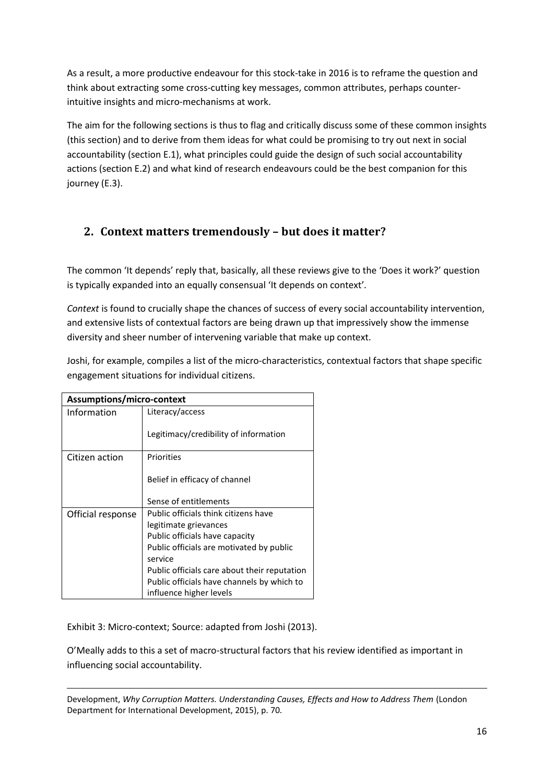As a result, a more productive endeavour for this stock-take in 2016 is to reframe the question and think about extracting some cross-cutting key messages, common attributes, perhaps counterintuitive insights and micro-mechanisms at work.

The aim for the following sections is thus to flag and critically discuss some of these common insights (this section) and to derive from them ideas for what could be promising to try out next in social accountability (section E.1), what principles could guide the design of such social accountability actions (section E.2) and what kind of research endeavours could be the best companion for this journey (E.3).

## <span id="page-15-0"></span>**2. Context matters tremendously – but does it matter?**

The common 'It depends' reply that, basically, all these reviews give to the 'Does it work?' question is typically expanded into an equally consensual 'It depends on context'*.*

*Context* is found to crucially shape the chances of success of every social accountability intervention, and extensive lists of contextual factors are being drawn up that impressively show the immense diversity and sheer number of intervening variable that make up context.

Joshi, for example, compiles a list of the micro-characteristics, contextual factors that shape specific engagement situations for individual citizens.

| Assumptions/micro-context |                                              |  |  |  |
|---------------------------|----------------------------------------------|--|--|--|
| Information               | Literacy/access                              |  |  |  |
|                           | Legitimacy/credibility of information        |  |  |  |
| Citizen action            | Priorities                                   |  |  |  |
|                           | Belief in efficacy of channel                |  |  |  |
|                           | Sense of entitlements                        |  |  |  |
| Official response         | Public officials think citizens have         |  |  |  |
|                           | legitimate grievances                        |  |  |  |
|                           | Public officials have capacity               |  |  |  |
|                           | Public officials are motivated by public     |  |  |  |
|                           | service                                      |  |  |  |
|                           | Public officials care about their reputation |  |  |  |
|                           | Public officials have channels by which to   |  |  |  |
|                           | influence higher levels                      |  |  |  |

Exhibit 3: Micro-context; Source: adapted from Joshi (2013).

O'Meally adds to this a set of macro-structural factors that his review identified as important in influencing social accountability.

**.** Development, *Why Corruption Matters. Understanding Causes, Effects and How to Address Them* (London Department for International Development, 2015), p. 70*.*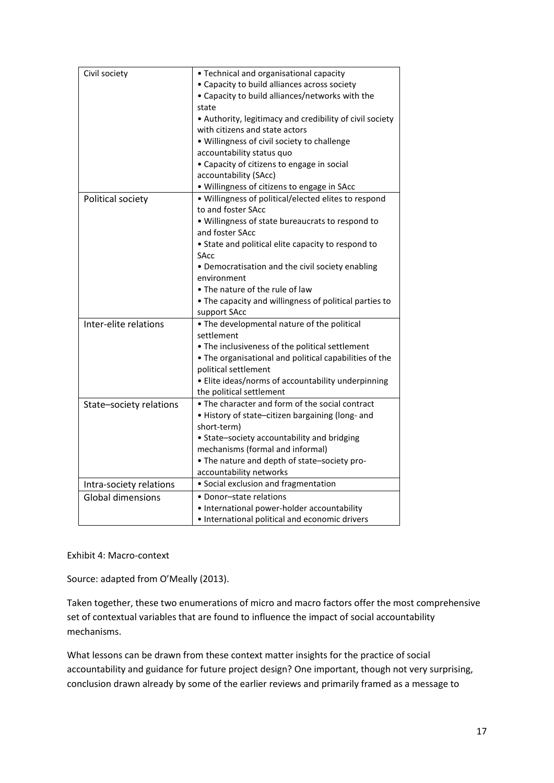| Civil society            | • Technical and organisational capacity                  |
|--------------------------|----------------------------------------------------------|
|                          | • Capacity to build alliances across society             |
|                          | • Capacity to build alliances/networks with the          |
|                          | state                                                    |
|                          | • Authority, legitimacy and credibility of civil society |
|                          | with citizens and state actors                           |
|                          | . Willingness of civil society to challenge              |
|                          | accountability status quo                                |
|                          | • Capacity of citizens to engage in social               |
|                          | accountability (SAcc)                                    |
|                          | · Willingness of citizens to engage in SAcc              |
| Political society        | · Willingness of political/elected elites to respond     |
|                          | to and foster SAcc                                       |
|                          | . Willingness of state bureaucrats to respond to         |
|                          | and foster SAcc                                          |
|                          | • State and political elite capacity to respond to       |
|                          | SAcc                                                     |
|                          | • Democratisation and the civil society enabling         |
|                          | environment                                              |
|                          | • The nature of the rule of law                          |
|                          | • The capacity and willingness of political parties to   |
|                          | support SAcc                                             |
| Inter-elite relations    | . The developmental nature of the political              |
|                          | settlement                                               |
|                          | • The inclusiveness of the political settlement          |
|                          | . The organisational and political capabilities of the   |
|                          | political settlement                                     |
|                          | • Elite ideas/norms of accountability underpinning       |
|                          | the political settlement                                 |
| State-society relations  | • The character and form of the social contract          |
|                          | · History of state-citizen bargaining (long- and         |
|                          | short-term)                                              |
|                          | • State-society accountability and bridging              |
|                          | mechanisms (formal and informal)                         |
|                          | • The nature and depth of state-society pro-             |
|                          | accountability networks                                  |
| Intra-society relations  | • Social exclusion and fragmentation                     |
| <b>Global dimensions</b> | · Donor-state relations                                  |
|                          | • International power-holder accountability              |
|                          | · International political and economic drivers           |

Exhibit 4: Macro-context

Source: adapted from O'Meally (2013).

Taken together, these two enumerations of micro and macro factors offer the most comprehensive set of contextual variables that are found to influence the impact of social accountability mechanisms.

What lessons can be drawn from these context matter insights for the practice of social accountability and guidance for future project design? One important, though not very surprising, conclusion drawn already by some of the earlier reviews and primarily framed as a message to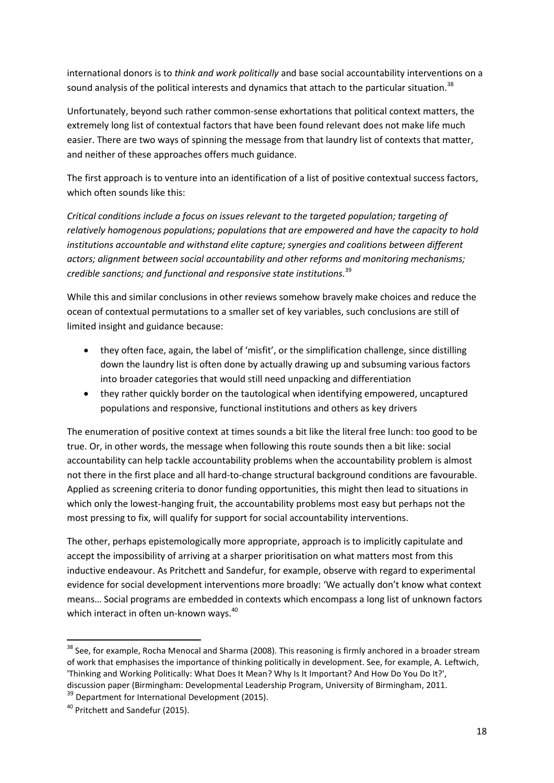international donors is to *think and work politically* and base social accountability interventions on a sound analysis of the political interests and dynamics that attach to the particular situation.<sup>38</sup>

Unfortunately, beyond such rather common-sense exhortations that political context matters, the extremely long list of contextual factors that have been found relevant does not make life much easier. There are two ways of spinning the message from that laundry list of contexts that matter, and neither of these approaches offers much guidance.

The first approach is to venture into an identification of a list of positive contextual success factors, which often sounds like this:

*Critical conditions include a focus on issues relevant to the targeted population; targeting of relatively homogenous populations; populations that are empowered and have the capacity to hold institutions accountable and withstand elite capture; synergies and coalitions between different actors; alignment between social accountability and other reforms and monitoring mechanisms; credible sanctions; and functional and responsive state institutions.* 39

While this and similar conclusions in other reviews somehow bravely make choices and reduce the ocean of contextual permutations to a smaller set of key variables, such conclusions are still of limited insight and guidance because:

- they often face, again, the label of 'misfit', or the simplification challenge, since distilling down the laundry list is often done by actually drawing up and subsuming various factors into broader categories that would still need unpacking and differentiation
- they rather quickly border on the tautological when identifying empowered, uncaptured populations and responsive, functional institutions and others as key drivers

The enumeration of positive context at times sounds a bit like the literal free lunch: too good to be true. Or, in other words, the message when following this route sounds then a bit like: social accountability can help tackle accountability problems when the accountability problem is almost not there in the first place and all hard-to-change structural background conditions are favourable. Applied as screening criteria to donor funding opportunities, this might then lead to situations in which only the lowest-hanging fruit, the accountability problems most easy but perhaps not the most pressing to fix, will qualify for support for social accountability interventions.

The other, perhaps epistemologically more appropriate, approach is to implicitly capitulate and accept the impossibility of arriving at a sharper prioritisation on what matters most from this inductive endeavour. As Pritchett and Sandefur, for example, observe with regard to experimental evidence for social development interventions more broadly: 'We actually don't know what context means… Social programs are embedded in contexts which encompass a long list of unknown factors which interact in often un-known ways.<sup>40</sup>

**.** 

<sup>&</sup>lt;sup>38</sup> See, for example, Rocha Menocal and Sharma (2008). This reasoning is firmly anchored in a broader stream of work that emphasises the importance of thinking politically in development. See, for example, A. Leftwich, 'Thinking and Working Politically: What Does It Mean? Why Is It Important? And How Do You Do It?', discussion paper (Birmingham: Developmental Leadership Program, University of Birmingham, 2011.

<sup>&</sup>lt;sup>39</sup> Department for International Development (2015).

<sup>40</sup> Pritchett and Sandefur (2015).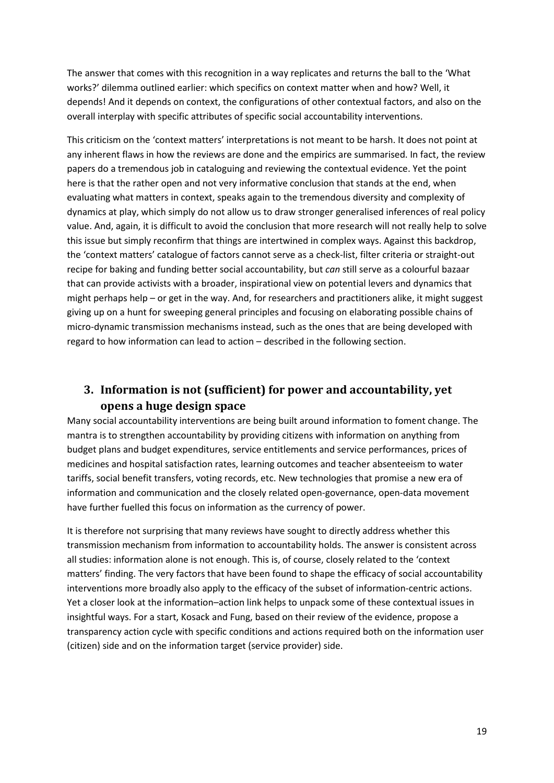The answer that comes with this recognition in a way replicates and returns the ball to the 'What works?' dilemma outlined earlier: which specifics on context matter when and how? Well, it depends! And it depends on context, the configurations of other contextual factors, and also on the overall interplay with specific attributes of specific social accountability interventions.

This criticism on the 'context matters' interpretations is not meant to be harsh. It does not point at any inherent flaws in how the reviews are done and the empirics are summarised. In fact, the review papers do a tremendous job in cataloguing and reviewing the contextual evidence. Yet the point here is that the rather open and not very informative conclusion that stands at the end, when evaluating what matters in context, speaks again to the tremendous diversity and complexity of dynamics at play, which simply do not allow us to draw stronger generalised inferences of real policy value. And, again, it is difficult to avoid the conclusion that more research will not really help to solve this issue but simply reconfirm that things are intertwined in complex ways. Against this backdrop, the 'context matters' catalogue of factors cannot serve as a check-list, filter criteria or straight-out recipe for baking and funding better social accountability, but *can* still serve as a colourful bazaar that can provide activists with a broader, inspirational view on potential levers and dynamics that might perhaps help – or get in the way. And, for researchers and practitioners alike, it might suggest giving up on a hunt for sweeping general principles and focusing on elaborating possible chains of micro-dynamic transmission mechanisms instead, such as the ones that are being developed with regard to how information can lead to action – described in the following section.

# <span id="page-18-0"></span>**3. Information is not (sufficient) for power and accountability, yet opens a huge design space**

Many social accountability interventions are being built around information to foment change. The mantra is to strengthen accountability by providing citizens with information on anything from budget plans and budget expenditures, service entitlements and service performances, prices of medicines and hospital satisfaction rates, learning outcomes and teacher absenteeism to water tariffs, social benefit transfers, voting records, etc. New technologies that promise a new era of information and communication and the closely related open-governance, open-data movement have further fuelled this focus on information as the currency of power.

It is therefore not surprising that many reviews have sought to directly address whether this transmission mechanism from information to accountability holds. The answer is consistent across all studies: information alone is not enough. This is, of course, closely related to the 'context matters' finding. The very factors that have been found to shape the efficacy of social accountability interventions more broadly also apply to the efficacy of the subset of information-centric actions. Yet a closer look at the information–action link helps to unpack some of these contextual issues in insightful ways. For a start, Kosack and Fung, based on their review of the evidence, propose a transparency action cycle with specific conditions and actions required both on the information user (citizen) side and on the information target (service provider) side.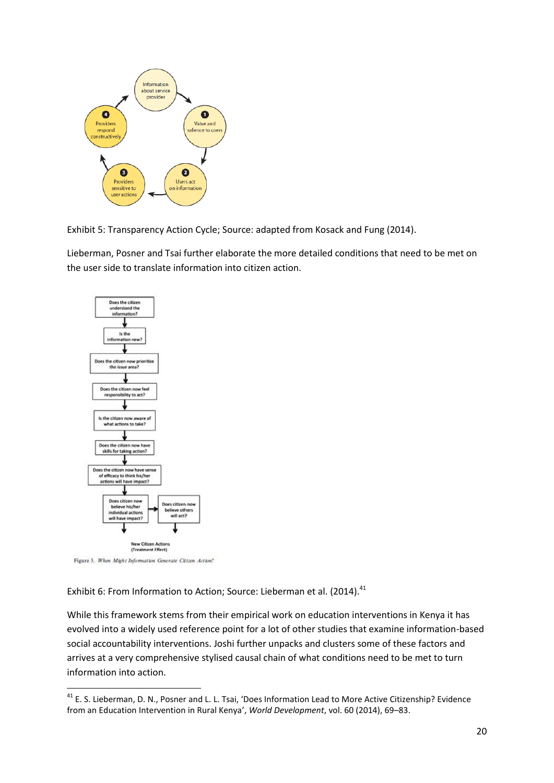

Exhibit 5: Transparency Action Cycle; Source: adapted from Kosack and Fung (2014).

Lieberman, Posner and Tsai further elaborate the more detailed conditions that need to be met on the user side to translate information into citizen action.



Figure 3. When Might Information Generate Citizen Action?

**.** 

Exhibit 6: From Information to Action; Source: Lieberman et al. (2014).<sup>41</sup>

While this framework stems from their empirical work on education interventions in Kenya it has evolved into a widely used reference point for a lot of other studies that examine information-based social accountability interventions. Joshi further unpacks and clusters some of these factors and arrives at a very comprehensive stylised causal chain of what conditions need to be met to turn information into action.

 $41$  E. S. Lieberman, D. N., Posner and L. L. Tsai, 'Does Information Lead to More Active Citizenship? Evidence from an Education Intervention in Rural Kenya', *World Development*, vol. 60 (2014), 69–83.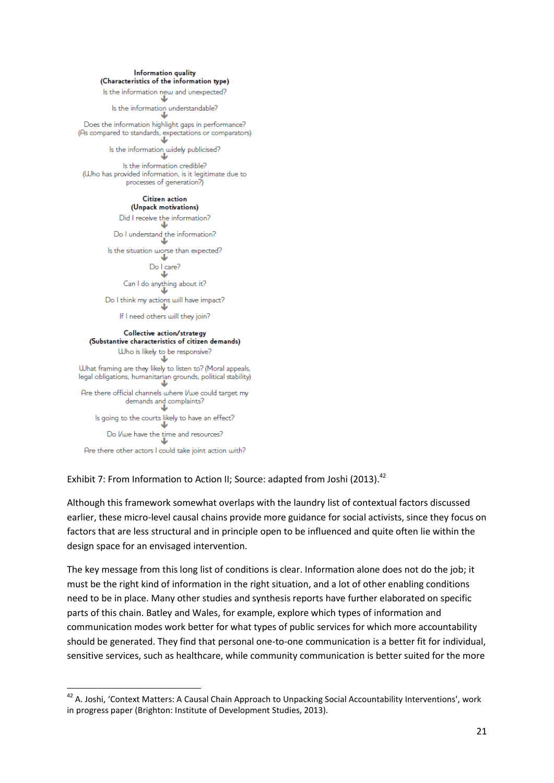#### Information quality (Characteristics of the information type)

#### Is the information new and unexpected?

Is the information understandable?

Does the information highlight gaps in performance? (As compared to standards, expectations or comparators) J

> Is the information widely publicised? نة

Is the information credible? (Who has provided information, is it legitimate due to processes of generation?)

## **Citizen** action

(Unpack motivations) Did I receive the information? Do I understand the information? Φ Is the situation worse than expected? J Do I care? J Can I do anything about it? J Do I think my actions will have impact? Φ If I need others will they join?

#### Collective action/strategy (Substantive characteristics of citizen demands) Who is likely to be responsive? ↓ What framing are they likely to listen to? (Moral appeals, legal obligations, humanitarian grounds, political stability) ï Are there official channels where I/we could target my demands and complaints?

۰U Is going to the courts likely to have an effect? J Do Vwe have the time and resources? J

Are there other actors I could take joint action with?

**.** 

Exhibit 7: From Information to Action II; Source: adapted from Joshi (2013).<sup>42</sup>

Although this framework somewhat overlaps with the laundry list of contextual factors discussed earlier, these micro-level causal chains provide more guidance for social activists, since they focus on factors that are less structural and in principle open to be influenced and quite often lie within the design space for an envisaged intervention.

The key message from this long list of conditions is clear. Information alone does not do the job; it must be the right kind of information in the right situation, and a lot of other enabling conditions need to be in place. Many other studies and synthesis reports have further elaborated on specific parts of this chain. Batley and Wales, for example, explore which types of information and communication modes work better for what types of public services for which more accountability should be generated. They find that personal one-to-one communication is a better fit for individual, sensitive services, such as healthcare, while community communication is better suited for the more

<sup>&</sup>lt;sup>42</sup> A. Joshi, 'Context Matters: A Causal Chain Approach to Unpacking Social Accountability Interventions', work in progress paper (Brighton: Institute of Development Studies, 2013).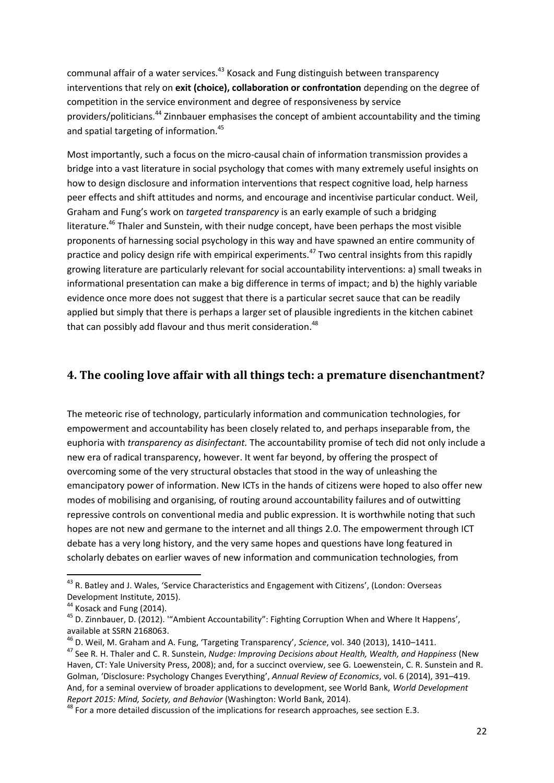communal affair of a water services.<sup>43</sup> Kosack and Fung distinguish between transparency interventions that rely on **exit (choice), collaboration or confrontation** depending on the degree of competition in the service environment and degree of responsiveness by service providers/politicians.<sup>44</sup> Zinnbauer emphasises the concept of ambient accountability and the timing and spatial targeting of information.<sup>45</sup>

Most importantly, such a focus on the micro-causal chain of information transmission provides a bridge into a vast literature in social psychology that comes with many extremely useful insights on how to design disclosure and information interventions that respect cognitive load, help harness peer effects and shift attitudes and norms, and encourage and incentivise particular conduct. Weil, Graham and Fung's work on *targeted transparency* is an early example of such a bridging literature.<sup>46</sup> Thaler and Sunstein, with their nudge concept, have been perhaps the most visible proponents of harnessing social psychology in this way and have spawned an entire community of practice and policy design rife with empirical experiments.<sup>47</sup> Two central insights from this rapidly growing literature are particularly relevant for social accountability interventions: a) small tweaks in informational presentation can make a big difference in terms of impact; and b) the highly variable evidence once more does not suggest that there is a particular secret sauce that can be readily applied but simply that there is perhaps a larger set of plausible ingredients in the kitchen cabinet that can possibly add flavour and thus merit consideration.<sup>48</sup>

## <span id="page-21-0"></span>**4. The cooling love affair with all things tech: a premature disenchantment?**

The meteoric rise of technology, particularly information and communication technologies, for empowerment and accountability has been closely related to, and perhaps inseparable from, the euphoria with *transparency as disinfectant.* The accountability promise of tech did not only include a new era of radical transparency, however. It went far beyond, by offering the prospect of overcoming some of the very structural obstacles that stood in the way of unleashing the emancipatory power of information. New ICTs in the hands of citizens were hoped to also offer new modes of mobilising and organising, of routing around accountability failures and of outwitting repressive controls on conventional media and public expression. It is worthwhile noting that such hopes are not new and germane to the internet and all things 2.0. The empowerment through ICT debate has a very long history, and the very same hopes and questions have long featured in scholarly debates on earlier waves of new information and communication technologies, from

 $\overline{\phantom{a}}$ 

<sup>&</sup>lt;sup>43</sup> R. Batley and J. Wales, 'Service Characteristics and Engagement with Citizens', (London: Overseas Development Institute, 2015).

<sup>&</sup>lt;sup>44</sup> Kosack and Fung (2014).

<sup>45</sup> D. Zinnbauer, D. (2012). '"Ambient Accountability": Fighting Corruption When and Where It Happens', available at SSRN 2168063.

<sup>46</sup> D. Weil, M. Graham and A. Fung, 'Targeting Transparency', *Science*, vol. 340 (2013), 1410–1411.

<sup>47</sup> See R. H. Thaler and C. R. Sunstein, *Nudge: Improving Decisions about Health, Wealth, and Happiness* (New Haven, CT: Yale University Press, 2008); and, for a succinct overview, see G. Loewenstein, C. R. Sunstein and R. Golman, 'Disclosure: Psychology Changes Everything', *Annual Review of Economics*, vol. 6 (2014), 391–419. And, for a seminal overview of broader applications to development, see World Bank, *World Development Report 2015: Mind, Society, and Behavior* (Washington: World Bank, 2014).

 $48$  For a more detailed discussion of the implications for research approaches, see section E.3.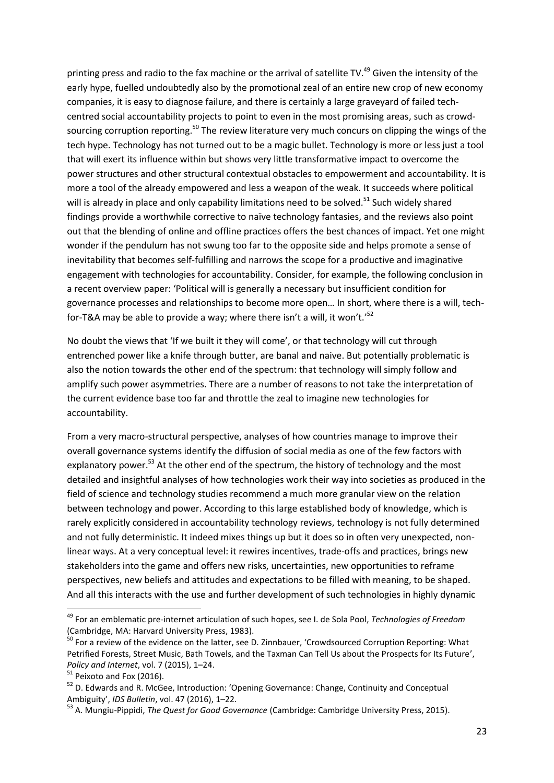printing press and radio to the fax machine or the arrival of satellite TV.<sup>49</sup> Given the intensity of the early hype, fuelled undoubtedly also by the promotional zeal of an entire new crop of new economy companies, it is easy to diagnose failure, and there is certainly a large graveyard of failed techcentred social accountability projects to point to even in the most promising areas, such as crowdsourcing corruption reporting.<sup>50</sup> The review literature very much concurs on clipping the wings of the tech hype. Technology has not turned out to be a magic bullet. Technology is more or less just a tool that will exert its influence within but shows very little transformative impact to overcome the power structures and other structural contextual obstacles to empowerment and accountability. It is more a tool of the already empowered and less a weapon of the weak. It succeeds where political will is already in place and only capability limitations need to be solved.<sup>51</sup> Such widely shared findings provide a worthwhile corrective to naïve technology fantasies, and the reviews also point out that the blending of online and offline practices offers the best chances of impact. Yet one might wonder if the pendulum has not swung too far to the opposite side and helps promote a sense of inevitability that becomes self-fulfilling and narrows the scope for a productive and imaginative engagement with technologies for accountability. Consider, for example, the following conclusion in a recent overview paper: 'Political will is generally a necessary but insufficient condition for governance processes and relationships to become more open… In short, where there is a will, techfor-T&A may be able to provide a way; where there isn't a will, it won't.'<sup>52</sup>

No doubt the views that 'If we built it they will come', or that technology will cut through entrenched power like a knife through butter, are banal and naive. But potentially problematic is also the notion towards the other end of the spectrum: that technology will simply follow and amplify such power asymmetries. There are a number of reasons to not take the interpretation of the current evidence base too far and throttle the zeal to imagine new technologies for accountability.

From a very macro-structural perspective, analyses of how countries manage to improve their overall governance systems identify the diffusion of social media as one of the few factors with explanatory power.<sup>53</sup> At the other end of the spectrum, the history of technology and the most detailed and insightful analyses of how technologies work their way into societies as produced in the field of science and technology studies recommend a much more granular view on the relation between technology and power. According to this large established body of knowledge, which is rarely explicitly considered in accountability technology reviews, technology is not fully determined and not fully deterministic. It indeed mixes things up but it does so in often very unexpected, nonlinear ways. At a very conceptual level: it rewires incentives, trade-offs and practices, brings new stakeholders into the game and offers new risks, uncertainties, new opportunities to reframe perspectives, new beliefs and attitudes and expectations to be filled with meaning, to be shaped. And all this interacts with the use and further development of such technologies in highly dynamic

<sup>49</sup> For an emblematic pre-internet articulation of such hopes, see I. de Sola Pool, *Technologies of Freedom* (Cambridge, MA: Harvard University Press, 1983).

<sup>50</sup> For a review of the evidence on the latter, see D. Zinnbauer, 'Crowdsourced Corruption Reporting: What Petrified Forests, Street Music, Bath Towels, and the Taxman Can Tell Us about the Prospects for Its Future', *Policy and Internet*, vol. 7 (2015), 1–24.

 $51$  Peixoto and Fox (2016).

<sup>&</sup>lt;sup>52</sup> D. Edwards and R. McGee, Introduction: 'Opening Governance: Change, Continuity and Conceptual Ambiguity', *IDS Bulletin*, vol. 47 (2016), 1–22.

<sup>53</sup> A. Mungiu-Pippidi, *The Quest for Good Governance* (Cambridge: Cambridge University Press, 2015).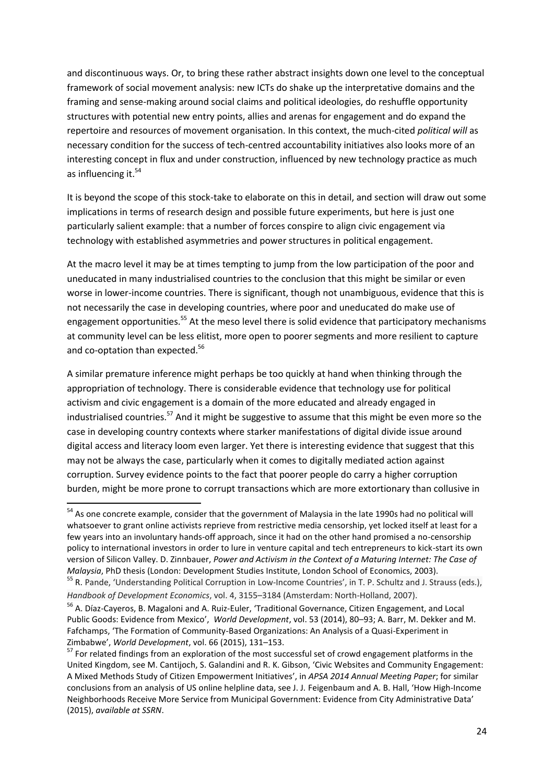and discontinuous ways. Or, to bring these rather abstract insights down one level to the conceptual framework of social movement analysis: new ICTs do shake up the interpretative domains and the framing and sense-making around social claims and political ideologies, do reshuffle opportunity structures with potential new entry points, allies and arenas for engagement and do expand the repertoire and resources of movement organisation. In this context, the much-cited *political will* as necessary condition for the success of tech-centred accountability initiatives also looks more of an interesting concept in flux and under construction, influenced by new technology practice as much as influencing it.<sup>54</sup>

It is beyond the scope of this stock-take to elaborate on this in detail, and section will draw out some implications in terms of research design and possible future experiments, but here is just one particularly salient example: that a number of forces conspire to align civic engagement via technology with established asymmetries and power structures in political engagement.

At the macro level it may be at times tempting to jump from the low participation of the poor and uneducated in many industrialised countries to the conclusion that this might be similar or even worse in lower-income countries. There is significant, though not unambiguous, evidence that this is not necessarily the case in developing countries, where poor and uneducated do make use of engagement opportunities.<sup>55</sup> At the meso level there is solid evidence that participatory mechanisms at community level can be less elitist, more open to poorer segments and more resilient to capture and co-optation than expected.<sup>56</sup>

A similar premature inference might perhaps be too quickly at hand when thinking through the appropriation of technology. There is considerable evidence that technology use for political activism and civic engagement is a domain of the more educated and already engaged in industrialised countries.<sup>57</sup> And it might be suggestive to assume that this might be even more so the case in developing country contexts where starker manifestations of digital divide issue around digital access and literacy loom even larger. Yet there is interesting evidence that suggest that this may not be always the case, particularly when it comes to digitally mediated action against corruption. Survey evidence points to the fact that poorer people do carry a higher corruption burden, might be more prone to corrupt transactions which are more extortionary than collusive in

<sup>&</sup>lt;sup>54</sup> As one concrete example, consider that the government of Malaysia in the late 1990s had no political will whatsoever to grant online activists reprieve from restrictive media censorship, yet locked itself at least for a few years into an involuntary hands-off approach, since it had on the other hand promised a no-censorship policy to international investors in order to lure in venture capital and tech entrepreneurs to kick-start its own version of Silicon Valley. D. Zinnbauer, *Power and Activism in the Context of a Maturing Internet: The Case of Malaysia*, PhD thesis (London: Development Studies Institute, London School of Economics, 2003).

<sup>&</sup>lt;sup>55</sup> R. Pande, 'Understanding Political Corruption in Low-Income Countries', in T. P. Schultz and J. Strauss (eds.), *Handbook of Development Economics*, vol. 4, 3155–3184 (Amsterdam: North-Holland, 2007).

<sup>56</sup> A. Díaz-Cayeros, B. Magaloni and A. Ruiz-Euler, 'Traditional Governance, Citizen Engagement, and Local Public Goods: Evidence from Mexico', *World Development*, vol. 53 (2014), 80–93; A. Barr, M. Dekker and M. Fafchamps, 'The Formation of Community-Based Organizations: An Analysis of a Quasi-Experiment in Zimbabwe', *World Development*, vol. 66 (2015), 131–153.

<sup>&</sup>lt;sup>57</sup> For related findings from an exploration of the most successful set of crowd engagement platforms in the United Kingdom, see M. Cantijoch, S. Galandini and R. K. Gibson, 'Civic Websites and Community Engagement: A Mixed Methods Study of Citizen Empowerment Initiatives', in *APSA 2014 Annual Meeting Paper*; for similar conclusions from an analysis of US online helpline data, see J. J. Feigenbaum and A. B. Hall, 'How High-Income Neighborhoods Receive More Service from Municipal Government: Evidence from City Administrative Data' (2015), *available at SSRN*.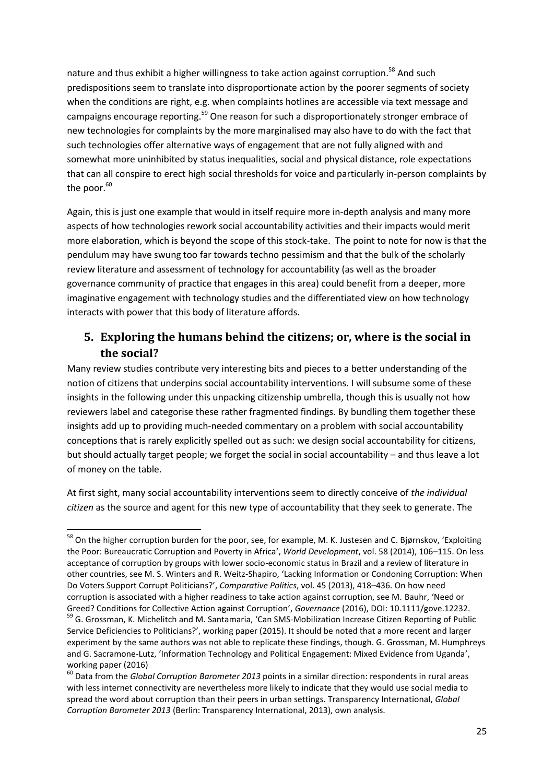nature and thus exhibit a higher willingness to take action against corruption.<sup>58</sup> And such predispositions seem to translate into disproportionate action by the poorer segments of society when the conditions are right, e.g. when complaints hotlines are accessible via text message and campaigns encourage reporting.<sup>59</sup> One reason for such a disproportionately stronger embrace of new technologies for complaints by the more marginalised may also have to do with the fact that such technologies offer alternative ways of engagement that are not fully aligned with and somewhat more uninhibited by status inequalities, social and physical distance, role expectations that can all conspire to erect high social thresholds for voice and particularly in-person complaints by the poor. $60$ 

Again, this is just one example that would in itself require more in-depth analysis and many more aspects of how technologies rework social accountability activities and their impacts would merit more elaboration, which is beyond the scope of this stock-take. The point to note for now is that the pendulum may have swung too far towards techno pessimism and that the bulk of the scholarly review literature and assessment of technology for accountability (as well as the broader governance community of practice that engages in this area) could benefit from a deeper, more imaginative engagement with technology studies and the differentiated view on how technology interacts with power that this body of literature affords.

# <span id="page-24-0"></span>**5. Exploring the humans behind the citizens; or, where is the social in the social?**

Many review studies contribute very interesting bits and pieces to a better understanding of the notion of citizens that underpins social accountability interventions. I will subsume some of these insights in the following under this unpacking citizenship umbrella, though this is usually not how reviewers label and categorise these rather fragmented findings. By bundling them together these insights add up to providing much-needed commentary on a problem with social accountability conceptions that is rarely explicitly spelled out as such: we design social accountability for citizens, but should actually target people; we forget the social in social accountability – and thus leave a lot of money on the table.

At first sight, many social accountability interventions seem to directly conceive of *the individual citizen* as the source and agent for this new type of accountability that they seek to generate. The

<sup>&</sup>lt;sup>58</sup> On the higher corruption burden for the poor, see, for example, M. K. Justesen and C. Bjørnskov, 'Exploiting the Poor: Bureaucratic Corruption and Poverty in Africa', *World Development*, vol. 58 (2014), 106–115. On less acceptance of corruption by groups with lower socio-economic status in Brazil and a review of literature in other countries, see M. S. Winters and R. Weitz-Shapiro, 'Lacking Information or Condoning Corruption: When Do Voters Support Corrupt Politicians?', *Comparative Politics*, vol. 45 (2013), 418–436. On how need corruption is associated with a higher readiness to take action against corruption, see M. Bauhr, 'Need or Greed? Conditions for Collective Action against Corruption', *Governance* (2016), DOI: 10.1111/gove.12232. <sup>59</sup> G. Grossman, K. Michelitch and M. Santamaria, 'Can SMS-Mobilization Increase Citizen Reporting of Public Service Deficiencies to Politicians?', working paper (2015). It should be noted that a more recent and larger experiment by the same authors was not able to replicate these findings, though. G. Grossman, M. Humphreys and G. Sacramone-Lutz, 'Information Technology and Political Engagement: Mixed Evidence from Uganda',

working paper (2016)

<sup>60</sup> Data from the *Global Corruption Barometer 2013* points in a similar direction: respondents in rural areas with less internet connectivity are nevertheless more likely to indicate that they would use social media to spread the word about corruption than their peers in urban settings. Transparency International, *Global Corruption Barometer 2013* (Berlin: Transparency International, 2013), own analysis.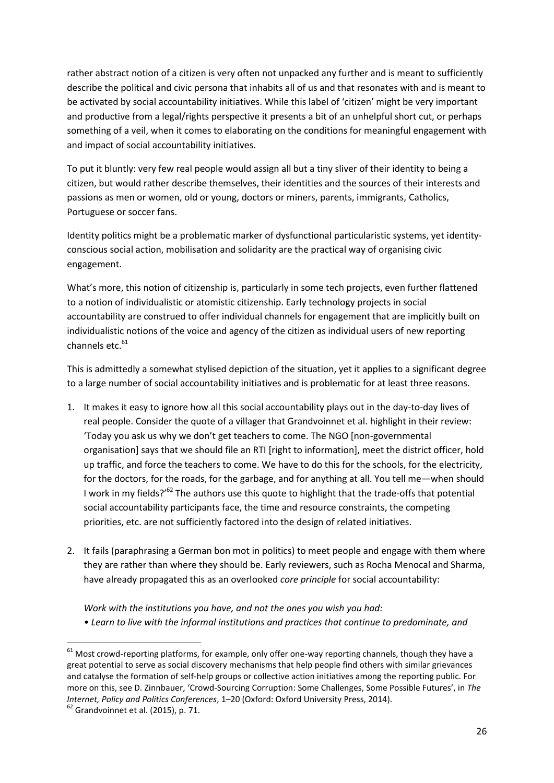rather abstract notion of a citizen is very often not unpacked any further and is meant to sufficiently describe the political and civic persona that inhabits all of us and that resonates with and is meant to be activated by social accountability initiatives. While this label of 'citizen' might be very important and productive from a legal/rights perspective it presents a bit of an unhelpful short cut, or perhaps something of a veil, when it comes to elaborating on the conditions for meaningful engagement with and impact of social accountability initiatives.

To put it bluntly: very few real people would assign all but a tiny sliver of their identity to being a citizen, but would rather describe themselves, their identities and the sources of their interests and passions as men or women, old or young, doctors or miners, parents, immigrants, Catholics, Portuguese or soccer fans.

Identity politics might be a problematic marker of dysfunctional particularistic systems, yet identityconscious social action, mobilisation and solidarity are the practical way of organising civic engagement.

What's more, this notion of citizenship is, particularly in some tech projects, even further flattened to a notion of individualistic or atomistic citizenship. Early technology projects in social accountability are construed to offer individual channels for engagement that are implicitly built on individualistic notions of the voice and agency of the citizen as individual users of new reporting channels etc. $61$ 

This is admittedly a somewhat stylised depiction of the situation, yet it applies to a significant degree to a large number of social accountability initiatives and is problematic for at least three reasons.

- 1. It makes it easy to ignore how all this social accountability plays out in the day-to-day lives of real people. Consider the quote of a villager that Grandvoinnet et al. highlight in their review: 'Today you ask us why we don't get teachers to come. The NGO [non-governmental organisation] says that we should file an RTI [right to information], meet the district officer, hold up traffic, and force the teachers to come. We have to do this for the schools, for the electricity, for the doctors, for the roads, for the garbage, and for anything at all. You tell me—when should I work in my fields?'<sup>62</sup> The authors use this quote to highlight that the trade-offs that potential social accountability participants face, the time and resource constraints, the competing priorities, etc. are not sufficiently factored into the design of related initiatives.
- 2. It fails (paraphrasing a German bon mot in politics) to meet people and engage with them where they are rather than where they should be. Early reviewers, such as Rocha Menocal and Sharma, have already propagated this as an overlooked *core principle* for social accountability:

*Work with the institutions you have, and not the ones you wish you had: • Learn to live with the informal institutions and practices that continue to predominate, and* 

**.** 

 $^{61}$  Most crowd-reporting platforms, for example, only offer one-way reporting channels, though they have a great potential to serve as social discovery mechanisms that help people find others with similar grievances and catalyse the formation of self-help groups or collective action initiatives among the reporting public. For more on this, see D. Zinnbauer, 'Crowd-Sourcing Corruption: Some Challenges, Some Possible Futures', in *The Internet, Policy and Politics Conferences*, 1–20 (Oxford: Oxford University Press, 2014).

 $62$  Grandvoinnet et al. (2015), p. 71.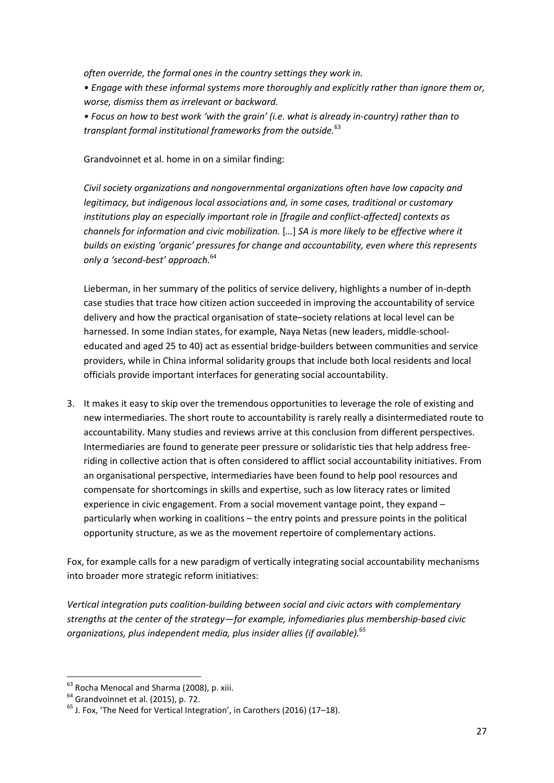*often override, the formal ones in the country settings they work in.* 

*• Engage with these informal systems more thoroughly and explicitly rather than ignore them or, worse, dismiss them as irrelevant or backward.* 

*• Focus on how to best work 'with the grain' (i.e. what is already in-country) rather than to transplant formal institutional frameworks from the outside.*<sup>63</sup>

#### Grandvoinnet et al. home in on a similar finding:

*Civil society organizations and nongovernmental organizations often have low capacity and legitimacy, but indigenous local associations and, in some cases, traditional or customary institutions play an especially important role in [fragile and conflict-affected] contexts as channels for information and civic mobilization.* [*…*] *SA is more likely to be effective where it builds on existing 'organic' pressures for change and accountability, even where this represents only a 'second-best' approach.*<sup>64</sup>

Lieberman, in her summary of the politics of service delivery, highlights a number of in-depth case studies that trace how citizen action succeeded in improving the accountability of service delivery and how the practical organisation of state–society relations at local level can be harnessed. In some Indian states, for example, Naya Netas (new leaders, middle-schooleducated and aged 25 to 40) act as essential bridge-builders between communities and service providers, while in China informal solidarity groups that include both local residents and local officials provide important interfaces for generating social accountability.

3. It makes it easy to skip over the tremendous opportunities to leverage the role of existing and new intermediaries. The short route to accountability is rarely really a disintermediated route to accountability. Many studies and reviews arrive at this conclusion from different perspectives. Intermediaries are found to generate peer pressure or solidaristic ties that help address freeriding in collective action that is often considered to afflict social accountability initiatives. From an organisational perspective, intermediaries have been found to help pool resources and compensate for shortcomings in skills and expertise, such as low literacy rates or limited experience in civic engagement. From a social movement vantage point, they expand – particularly when working in coalitions – the entry points and pressure points in the political opportunity structure, as we as the movement repertoire of complementary actions.

Fox, for example calls for a new paradigm of vertically integrating social accountability mechanisms into broader more strategic reform initiatives:

*Vertical integration puts coalition-building between social and civic actors with complementary strengths at the center of the strategy—for example, infomediaries plus membership-based civic organizations, plus independent media, plus insider allies (if available).*<sup>65</sup>

**<sup>.</sup>** <sup>63</sup> Rocha Menocal and Sharma (2008), p. xiii.

<sup>&</sup>lt;sup>64</sup> Grandvoinnet et al. (2015), p. 72.

 $<sup>65</sup>$  J. Fox. 'The Need for Vertical Integration', in Carothers (2016) (17–18).</sup>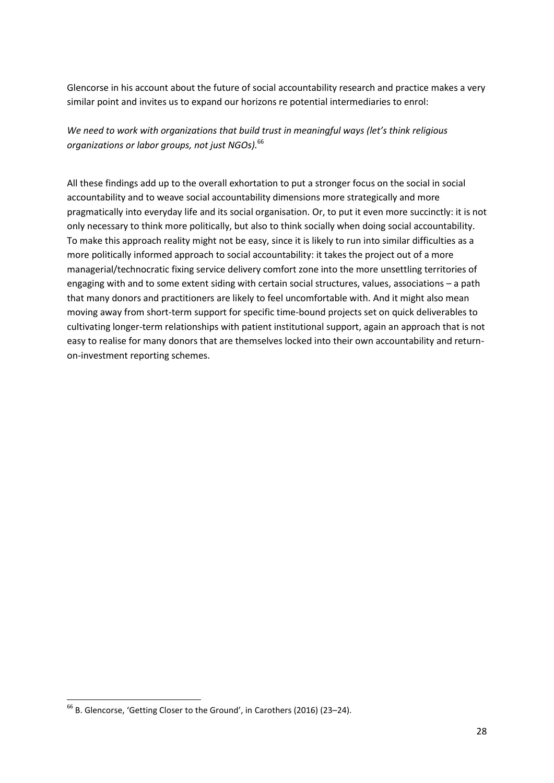Glencorse in his account about the future of social accountability research and practice makes a very similar point and invites us to expand our horizons re potential intermediaries to enrol:

*We need to work with organizations that build trust in meaningful ways (let's think religious organizations or labor groups, not just NGOs).* 66

All these findings add up to the overall exhortation to put a stronger focus on the social in social accountability and to weave social accountability dimensions more strategically and more pragmatically into everyday life and its social organisation. Or, to put it even more succinctly: it is not only necessary to think more politically, but also to think socially when doing social accountability. To make this approach reality might not be easy, since it is likely to run into similar difficulties as a more politically informed approach to social accountability: it takes the project out of a more managerial/technocratic fixing service delivery comfort zone into the more unsettling territories of engaging with and to some extent siding with certain social structures, values, associations – a path that many donors and practitioners are likely to feel uncomfortable with. And it might also mean moving away from short-term support for specific time-bound projects set on quick deliverables to cultivating longer-term relationships with patient institutional support, again an approach that is not easy to realise for many donors that are themselves locked into their own accountability and returnon-investment reporting schemes.

**.** 

<sup>&</sup>lt;sup>66</sup> B. Glencorse, 'Getting Closer to the Ground', in Carothers (2016) (23–24).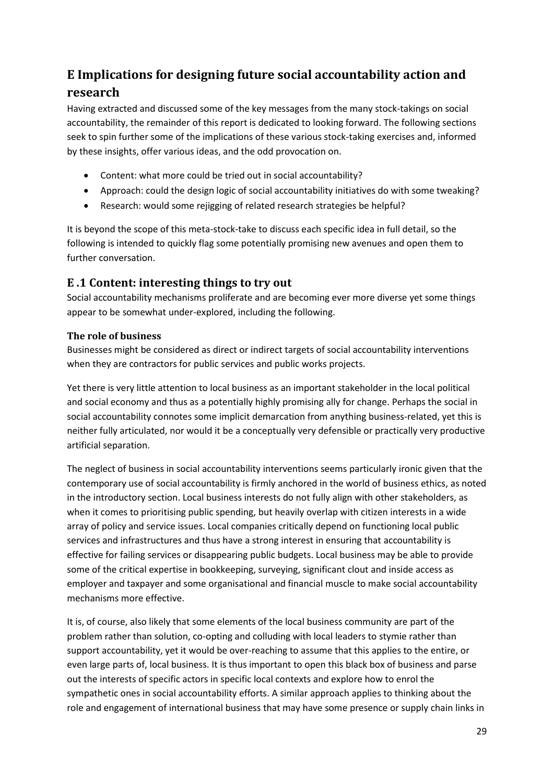# <span id="page-28-0"></span>**E Implications for designing future social accountability action and research**

Having extracted and discussed some of the key messages from the many stock-takings on social accountability, the remainder of this report is dedicated to looking forward. The following sections seek to spin further some of the implications of these various stock-taking exercises and, informed by these insights, offer various ideas, and the odd provocation on.

- Content: what more could be tried out in social accountability?
- Approach: could the design logic of social accountability initiatives do with some tweaking?
- Research: would some rejigging of related research strategies be helpful?

It is beyond the scope of this meta-stock-take to discuss each specific idea in full detail, so the following is intended to quickly flag some potentially promising new avenues and open them to further conversation.

## <span id="page-28-1"></span>**E .1 Content: interesting things to try out**

Social accountability mechanisms proliferate and are becoming ever more diverse yet some things appear to be somewhat under-explored, including the following.

## <span id="page-28-2"></span>**The role of business**

Businesses might be considered as direct or indirect targets of social accountability interventions when they are contractors for public services and public works projects.

Yet there is very little attention to local business as an important stakeholder in the local political and social economy and thus as a potentially highly promising ally for change. Perhaps the social in social accountability connotes some implicit demarcation from anything business-related, yet this is neither fully articulated, nor would it be a conceptually very defensible or practically very productive artificial separation.

The neglect of business in social accountability interventions seems particularly ironic given that the contemporary use of social accountability is firmly anchored in the world of business ethics, as noted in the introductory section. Local business interests do not fully align with other stakeholders, as when it comes to prioritising public spending, but heavily overlap with citizen interests in a wide array of policy and service issues. Local companies critically depend on functioning local public services and infrastructures and thus have a strong interest in ensuring that accountability is effective for failing services or disappearing public budgets. Local business may be able to provide some of the critical expertise in bookkeeping, surveying, significant clout and inside access as employer and taxpayer and some organisational and financial muscle to make social accountability mechanisms more effective.

It is, of course, also likely that some elements of the local business community are part of the problem rather than solution, co-opting and colluding with local leaders to stymie rather than support accountability, yet it would be over-reaching to assume that this applies to the entire, or even large parts of, local business. It is thus important to open this black box of business and parse out the interests of specific actors in specific local contexts and explore how to enrol the sympathetic ones in social accountability efforts. A similar approach applies to thinking about the role and engagement of international business that may have some presence or supply chain links in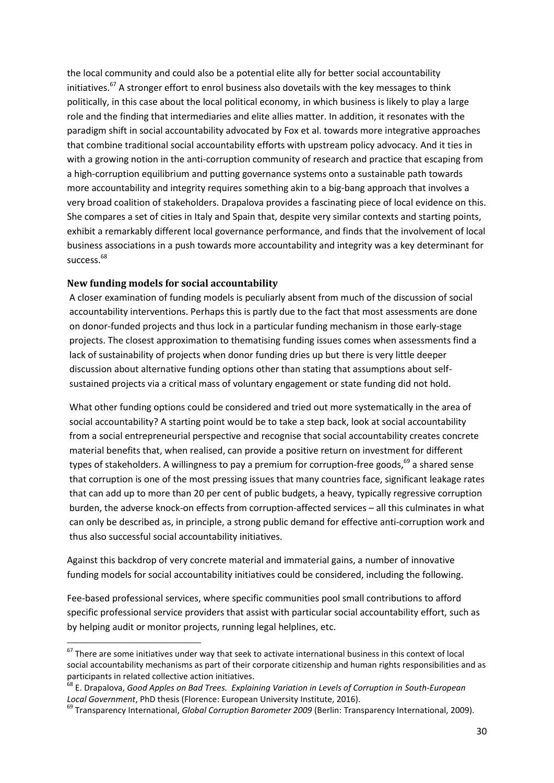the local community and could also be a potential elite ally for better social accountability initiatives.<sup>67</sup> A stronger effort to enrol business also dovetails with the key messages to think politically, in this case about the local political economy, in which business is likely to play a large role and the finding that intermediaries and elite allies matter. In addition, it resonates with the paradigm shift in social accountability advocated by Fox et al. towards more integrative approaches that combine traditional social accountability efforts with upstream policy advocacy. And it ties in with a growing notion in the anti-corruption community of research and practice that escaping from a high-corruption equilibrium and putting governance systems onto a sustainable path towards more accountability and integrity requires something akin to a big-bang approach that involves a very broad coalition of stakeholders. Drapalova provides a fascinating piece of local evidence on this. She compares a set of cities in Italy and Spain that, despite very similar contexts and starting points, exhibit a remarkably different local governance performance, and finds that the involvement of local business associations in a push towards more accountability and integrity was a key determinant for success.<sup>68</sup>

#### <span id="page-29-0"></span>**New funding models for social accountability**

**.** 

A closer examination of funding models is peculiarly absent from much of the discussion of social accountability interventions. Perhaps this is partly due to the fact that most assessments are done on donor-funded projects and thus lock in a particular funding mechanism in those early-stage projects. The closest approximation to thematising funding issues comes when assessments find a lack of sustainability of projects when donor funding dries up but there is very little deeper discussion about alternative funding options other than stating that assumptions about selfsustained projects via a critical mass of voluntary engagement or state funding did not hold.

What other funding options could be considered and tried out more systematically in the area of social accountability? A starting point would be to take a step back, look at social accountability from a social entrepreneurial perspective and recognise that social accountability creates concrete material benefits that, when realised, can provide a positive return on investment for different types of stakeholders. A willingness to pay a premium for corruption-free goods,<sup>69</sup> a shared sense that corruption is one of the most pressing issues that many countries face, significant leakage rates that can add up to more than 20 per cent of public budgets, a heavy, typically regressive corruption burden, the adverse knock-on effects from corruption-affected services – all this culminates in what can only be described as, in principle, a strong public demand for effective anti-corruption work and thus also successful social accountability initiatives.

Against this backdrop of very concrete material and immaterial gains, a number of innovative funding models for social accountability initiatives could be considered, including the following.

Fee-based professional services, where specific communities pool small contributions to afford specific professional service providers that assist with particular social accountability effort, such as by helping audit or monitor projects, running legal helplines, etc.

 $^{67}$  There are some initiatives under way that seek to activate international business in this context of local social accountability mechanisms as part of their corporate citizenship and human rights responsibilities and as participants in related collective action initiatives.

<sup>68</sup> E. Drapalova, *Good Apples on Bad Trees. Explaining Variation in Levels of Corruption in South-European Local Government*, PhD thesis (Florence: European University Institute, 2016).

<sup>69</sup> Transparency International, *Global Corruption Barometer 2009* (Berlin: Transparency International, 2009).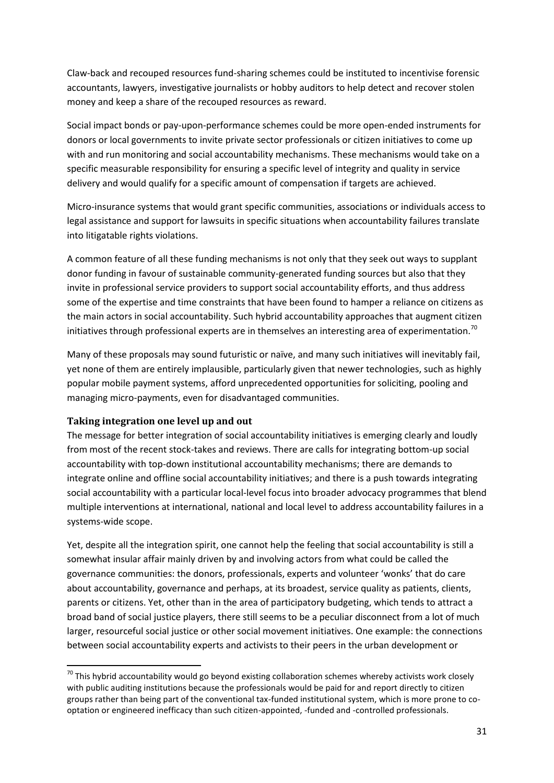Claw-back and recouped resources fund-sharing schemes could be instituted to incentivise forensic accountants, lawyers, investigative journalists or hobby auditors to help detect and recover stolen money and keep a share of the recouped resources as reward.

Social impact bonds or pay-upon-performance schemes could be more open-ended instruments for donors or local governments to invite private sector professionals or citizen initiatives to come up with and run monitoring and social accountability mechanisms. These mechanisms would take on a specific measurable responsibility for ensuring a specific level of integrity and quality in service delivery and would qualify for a specific amount of compensation if targets are achieved.

Micro-insurance systems that would grant specific communities, associations or individuals access to legal assistance and support for lawsuits in specific situations when accountability failures translate into litigatable rights violations.

A common feature of all these funding mechanisms is not only that they seek out ways to supplant donor funding in favour of sustainable community-generated funding sources but also that they invite in professional service providers to support social accountability efforts, and thus address some of the expertise and time constraints that have been found to hamper a reliance on citizens as the main actors in social accountability. Such hybrid accountability approaches that augment citizen initiatives through professional experts are in themselves an interesting area of experimentation.<sup>70</sup>

Many of these proposals may sound futuristic or naïve, and many such initiatives will inevitably fail, yet none of them are entirely implausible, particularly given that newer technologies, such as highly popular mobile payment systems, afford unprecedented opportunities for soliciting, pooling and managing micro-payments, even for disadvantaged communities.

### <span id="page-30-0"></span>**Taking integration one level up and out**

**.** 

The message for better integration of social accountability initiatives is emerging clearly and loudly from most of the recent stock-takes and reviews. There are calls for integrating bottom-up social accountability with top-down institutional accountability mechanisms; there are demands to integrate online and offline social accountability initiatives; and there is a push towards integrating social accountability with a particular local-level focus into broader advocacy programmes that blend multiple interventions at international, national and local level to address accountability failures in a systems-wide scope.

Yet, despite all the integration spirit, one cannot help the feeling that social accountability is still a somewhat insular affair mainly driven by and involving actors from what could be called the governance communities: the donors, professionals, experts and volunteer 'wonks' that do care about accountability, governance and perhaps, at its broadest, service quality as patients, clients, parents or citizens. Yet, other than in the area of participatory budgeting, which tends to attract a broad band of social justice players, there still seems to be a peculiar disconnect from a lot of much larger, resourceful social justice or other social movement initiatives. One example: the connections between social accountability experts and activists to their peers in the urban development or

 $^{70}$  This hybrid accountability would go beyond existing collaboration schemes whereby activists work closely with public auditing institutions because the professionals would be paid for and report directly to citizen groups rather than being part of the conventional tax-funded institutional system, which is more prone to cooptation or engineered inefficacy than such citizen-appointed, -funded and -controlled professionals.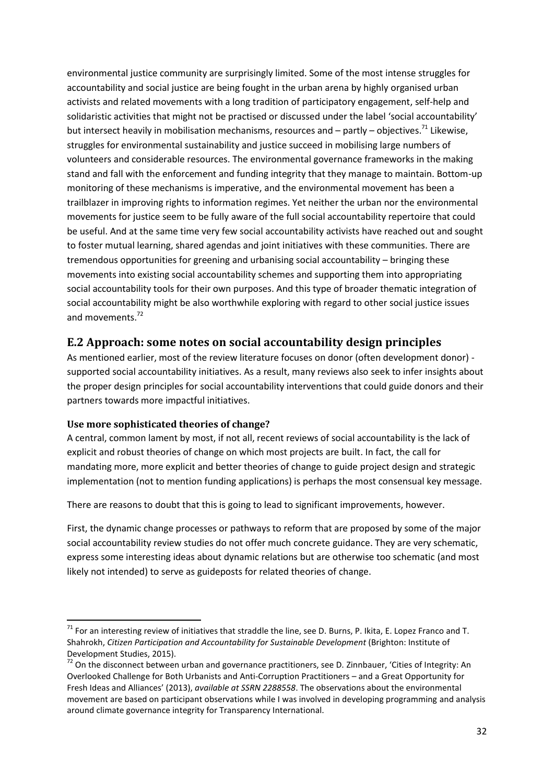environmental justice community are surprisingly limited. Some of the most intense struggles for accountability and social justice are being fought in the urban arena by highly organised urban activists and related movements with a long tradition of participatory engagement, self-help and solidaristic activities that might not be practised or discussed under the label 'social accountability' but intersect heavily in mobilisation mechanisms, resources and – partly – objectives.<sup>71</sup> Likewise, struggles for environmental sustainability and justice succeed in mobilising large numbers of volunteers and considerable resources. The environmental governance frameworks in the making stand and fall with the enforcement and funding integrity that they manage to maintain. Bottom-up monitoring of these mechanisms is imperative, and the environmental movement has been a trailblazer in improving rights to information regimes. Yet neither the urban nor the environmental movements for justice seem to be fully aware of the full social accountability repertoire that could be useful. And at the same time very few social accountability activists have reached out and sought to foster mutual learning, shared agendas and joint initiatives with these communities. There are tremendous opportunities for greening and urbanising social accountability – bringing these movements into existing social accountability schemes and supporting them into appropriating social accountability tools for their own purposes. And this type of broader thematic integration of social accountability might be also worthwhile exploring with regard to other social justice issues and movements.<sup>72</sup>

## <span id="page-31-0"></span>**E.2 Approach: some notes on social accountability design principles**

As mentioned earlier, most of the review literature focuses on donor (often development donor) supported social accountability initiatives. As a result, many reviews also seek to infer insights about the proper design principles for social accountability interventions that could guide donors and their partners towards more impactful initiatives.

### <span id="page-31-1"></span>**Use more sophisticated theories of change?**

**.** 

A central, common lament by most, if not all, recent reviews of social accountability is the lack of explicit and robust theories of change on which most projects are built. In fact, the call for mandating more, more explicit and better theories of change to guide project design and strategic implementation (not to mention funding applications) is perhaps the most consensual key message.

There are reasons to doubt that this is going to lead to significant improvements, however.

First, the dynamic change processes or pathways to reform that are proposed by some of the major social accountability review studies do not offer much concrete guidance. They are very schematic, express some interesting ideas about dynamic relations but are otherwise too schematic (and most likely not intended) to serve as guideposts for related theories of change.

 $71$  For an interesting review of initiatives that straddle the line, see D. Burns, P. Ikita, E. Lopez Franco and T. Shahrokh, *Citizen Participation and Accountability for Sustainable Development* (Brighton: Institute of Development Studies, 2015).

 $72$  On the disconnect between urban and governance practitioners, see D. Zinnbauer, 'Cities of Integrity: An Overlooked Challenge for Both Urbanists and Anti-Corruption Practitioners – and a Great Opportunity for Fresh Ideas and Alliances' (2013), *available at SSRN 2288558*. The observations about the environmental movement are based on participant observations while I was involved in developing programming and analysis around climate governance integrity for Transparency International.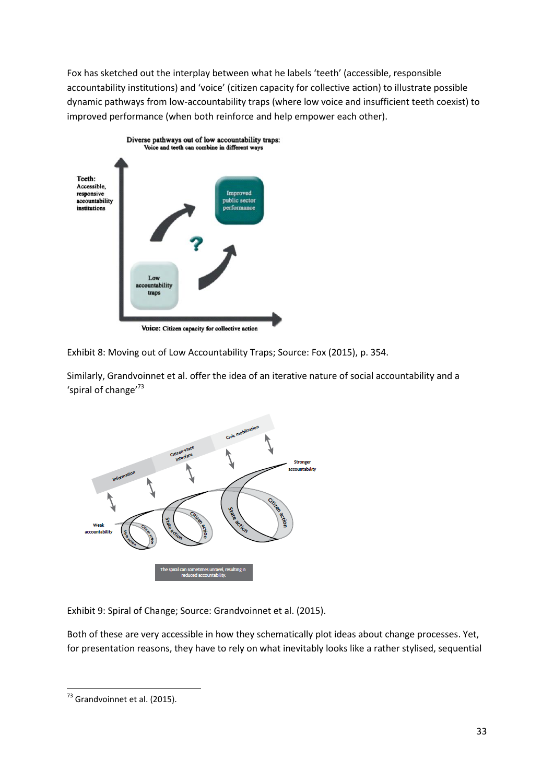Fox has sketched out the interplay between what he labels 'teeth' (accessible, responsible accountability institutions) and 'voice' (citizen capacity for collective action) to illustrate possible dynamic pathways from low-accountability traps (where low voice and insufficient teeth coexist) to improved performance (when both reinforce and help empower each other).



Exhibit 8: Moving out of Low Accountability Traps; Source: Fox (2015), p. 354.

Similarly, Grandvoinnet et al. offer the idea of an iterative nature of social accountability and a 'spiral of change'<sup>73</sup>



Exhibit 9: Spiral of Change; Source: Grandvoinnet et al. (2015).

Both of these are very accessible in how they schematically plot ideas about change processes. Yet, for presentation reasons, they have to rely on what inevitably looks like a rather stylised, sequential

**<sup>.</sup>**  $73$  Grandvoinnet et al. (2015).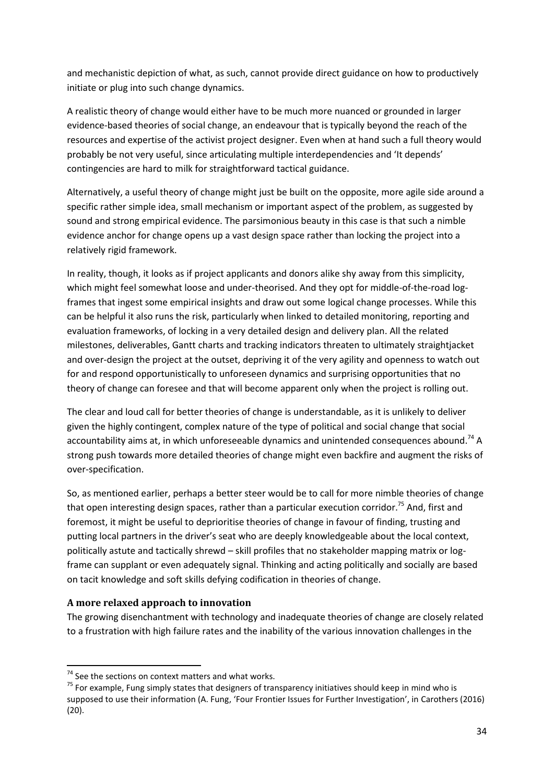and mechanistic depiction of what, as such, cannot provide direct guidance on how to productively initiate or plug into such change dynamics.

A realistic theory of change would either have to be much more nuanced or grounded in larger evidence-based theories of social change, an endeavour that is typically beyond the reach of the resources and expertise of the activist project designer. Even when at hand such a full theory would probably be not very useful, since articulating multiple interdependencies and 'It depends' contingencies are hard to milk for straightforward tactical guidance.

Alternatively, a useful theory of change might just be built on the opposite, more agile side around a specific rather simple idea, small mechanism or important aspect of the problem, as suggested by sound and strong empirical evidence. The parsimonious beauty in this case is that such a nimble evidence anchor for change opens up a vast design space rather than locking the project into a relatively rigid framework.

In reality, though, it looks as if project applicants and donors alike shy away from this simplicity, which might feel somewhat loose and under-theorised. And they opt for middle-of-the-road logframes that ingest some empirical insights and draw out some logical change processes. While this can be helpful it also runs the risk, particularly when linked to detailed monitoring, reporting and evaluation frameworks, of locking in a very detailed design and delivery plan. All the related milestones, deliverables, Gantt charts and tracking indicators threaten to ultimately straightjacket and over-design the project at the outset, depriving it of the very agility and openness to watch out for and respond opportunistically to unforeseen dynamics and surprising opportunities that no theory of change can foresee and that will become apparent only when the project is rolling out.

The clear and loud call for better theories of change is understandable, as it is unlikely to deliver given the highly contingent, complex nature of the type of political and social change that social accountability aims at, in which unforeseeable dynamics and unintended consequences abound.<sup>74</sup> A strong push towards more detailed theories of change might even backfire and augment the risks of over-specification.

So, as mentioned earlier, perhaps a better steer would be to call for more nimble theories of change that open interesting design spaces, rather than a particular execution corridor.<sup>75</sup> And, first and foremost, it might be useful to deprioritise theories of change in favour of finding, trusting and putting local partners in the driver's seat who are deeply knowledgeable about the local context, politically astute and tactically shrewd – skill profiles that no stakeholder mapping matrix or logframe can supplant or even adequately signal. Thinking and acting politically and socially are based on tacit knowledge and soft skills defying codification in theories of change.

### <span id="page-33-0"></span>**A more relaxed approach to innovation**

**.** 

The growing disenchantment with technology and inadequate theories of change are closely related to a frustration with high failure rates and the inability of the various innovation challenges in the

 $74$  See the sections on context matters and what works.

<sup>&</sup>lt;sup>75</sup> For example, Fung simply states that designers of transparency initiatives should keep in mind who is supposed to use their information (A. Fung, 'Four Frontier Issues for Further Investigation', in Carothers (2016) (20).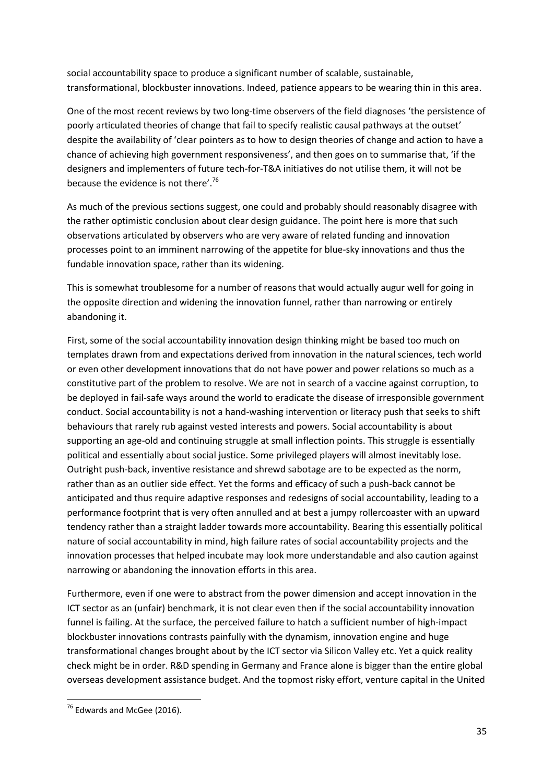social accountability space to produce a significant number of scalable, sustainable, transformational, blockbuster innovations. Indeed, patience appears to be wearing thin in this area.

One of the most recent reviews by two long-time observers of the field diagnoses 'the persistence of poorly articulated theories of change that fail to specify realistic causal pathways at the outset' despite the availability of 'clear pointers as to how to design theories of change and action to have a chance of achieving high government responsiveness', and then goes on to summarise that, 'if the designers and implementers of future tech-for-T&A initiatives do not utilise them, it will not be because the evidence is not there'.<sup>76</sup>

As much of the previous sections suggest, one could and probably should reasonably disagree with the rather optimistic conclusion about clear design guidance. The point here is more that such observations articulated by observers who are very aware of related funding and innovation processes point to an imminent narrowing of the appetite for blue-sky innovations and thus the fundable innovation space, rather than its widening.

This is somewhat troublesome for a number of reasons that would actually augur well for going in the opposite direction and widening the innovation funnel, rather than narrowing or entirely abandoning it.

First, some of the social accountability innovation design thinking might be based too much on templates drawn from and expectations derived from innovation in the natural sciences, tech world or even other development innovations that do not have power and power relations so much as a constitutive part of the problem to resolve. We are not in search of a vaccine against corruption, to be deployed in fail-safe ways around the world to eradicate the disease of irresponsible government conduct. Social accountability is not a hand-washing intervention or literacy push that seeks to shift behaviours that rarely rub against vested interests and powers. Social accountability is about supporting an age-old and continuing struggle at small inflection points. This struggle is essentially political and essentially about social justice. Some privileged players will almost inevitably lose. Outright push-back, inventive resistance and shrewd sabotage are to be expected as the norm, rather than as an outlier side effect. Yet the forms and efficacy of such a push-back cannot be anticipated and thus require adaptive responses and redesigns of social accountability, leading to a performance footprint that is very often annulled and at best a jumpy rollercoaster with an upward tendency rather than a straight ladder towards more accountability. Bearing this essentially political nature of social accountability in mind, high failure rates of social accountability projects and the innovation processes that helped incubate may look more understandable and also caution against narrowing or abandoning the innovation efforts in this area.

Furthermore, even if one were to abstract from the power dimension and accept innovation in the ICT sector as an (unfair) benchmark, it is not clear even then if the social accountability innovation funnel is failing. At the surface, the perceived failure to hatch a sufficient number of high-impact blockbuster innovations contrasts painfully with the dynamism, innovation engine and huge transformational changes brought about by the ICT sector via Silicon Valley etc. Yet a quick reality check might be in order. R&D spending in Germany and France alone is bigger than the entire global overseas development assistance budget. And the topmost risky effort, venture capital in the United

**<sup>.</sup>** <sup>76</sup> Edwards and McGee (2016).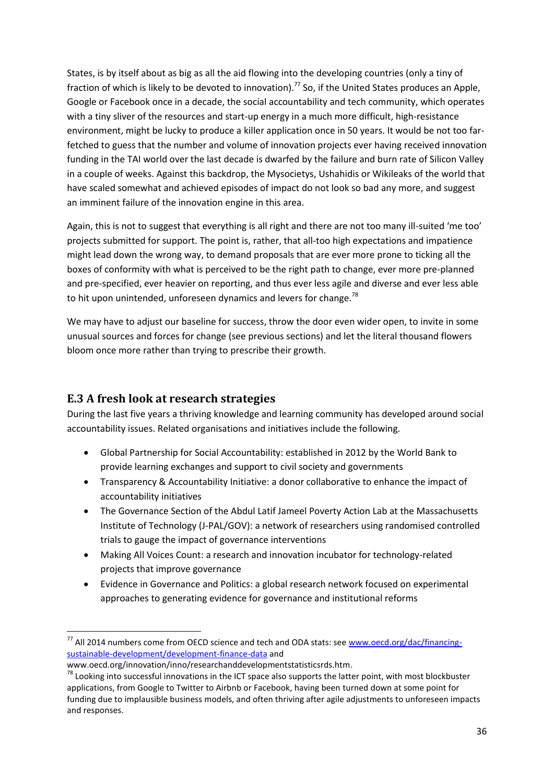States, is by itself about as big as all the aid flowing into the developing countries (only a tiny of fraction of which is likely to be devoted to innovation).<sup>77</sup> So, if the United States produces an Apple, Google or Facebook once in a decade, the social accountability and tech community, which operates with a tiny sliver of the resources and start-up energy in a much more difficult, high-resistance environment, might be lucky to produce a killer application once in 50 years. It would be not too farfetched to guess that the number and volume of innovation projects ever having received innovation funding in the TAI world over the last decade is dwarfed by the failure and burn rate of Silicon Valley in a couple of weeks. Against this backdrop, the Mysocietys, Ushahidis or Wikileaks of the world that have scaled somewhat and achieved episodes of impact do not look so bad any more, and suggest an imminent failure of the innovation engine in this area.

Again, this is not to suggest that everything is all right and there are not too many ill-suited 'me too' projects submitted for support. The point is, rather, that all-too high expectations and impatience might lead down the wrong way, to demand proposals that are ever more prone to ticking all the boxes of conformity with what is perceived to be the right path to change, ever more pre-planned and pre-specified, ever heavier on reporting, and thus ever less agile and diverse and ever less able to hit upon unintended, unforeseen dynamics and levers for change.<sup>78</sup>

We may have to adjust our baseline for success, throw the door even wider open, to invite in some unusual sources and forces for change (see previous sections) and let the literal thousand flowers bloom once more rather than trying to prescribe their growth.

# <span id="page-35-0"></span>**E.3 A fresh look at research strategies**

During the last five years a thriving knowledge and learning community has developed around social accountability issues. Related organisations and initiatives include the following.

- Global Partnership for Social Accountability: established in 2012 by the World Bank to provide learning exchanges and support to civil society and governments
- Transparency & Accountability Initiative: a donor collaborative to enhance the impact of accountability initiatives
- The Governance Section of the Abdul Latif Jameel Poverty Action Lab at the Massachusetts Institute of Technology (J-PAL/GOV): a network of researchers using randomised controlled trials to gauge the impact of governance interventions
- Making All Voices Count: a research and innovation incubator for technology-related projects that improve governance
- Evidence in Governance and Politics: a global research network focused on experimental approaches to generating evidence for governance and institutional reforms

 $\overline{a}$ 

<sup>&</sup>lt;sup>77</sup> All 2014 numbers come from OECD science and tech and ODA stats: see [www.oecd.org/dac/financing](file:///C:/Users/ti/Desktop/dropit/anticorrp/d%20all%20post%20copy%20edit/clean/www.oecd.org/dac/financing-sustainable-development/development-finance-data)[sustainable-development/development-finance-data](file:///C:/Users/ti/Desktop/dropit/anticorrp/d%20all%20post%20copy%20edit/clean/www.oecd.org/dac/financing-sustainable-development/development-finance-data) and

www.oecd.org/innovation/inno/researchanddevelopmentstatisticsrds.htm.

<sup>&</sup>lt;sup>78</sup> Looking into successful innovations in the ICT space also supports the latter point, with most blockbuster applications, from Google to Twitter to Airbnb or Facebook, having been turned down at some point for funding due to implausible business models, and often thriving after agile adjustments to unforeseen impacts and responses.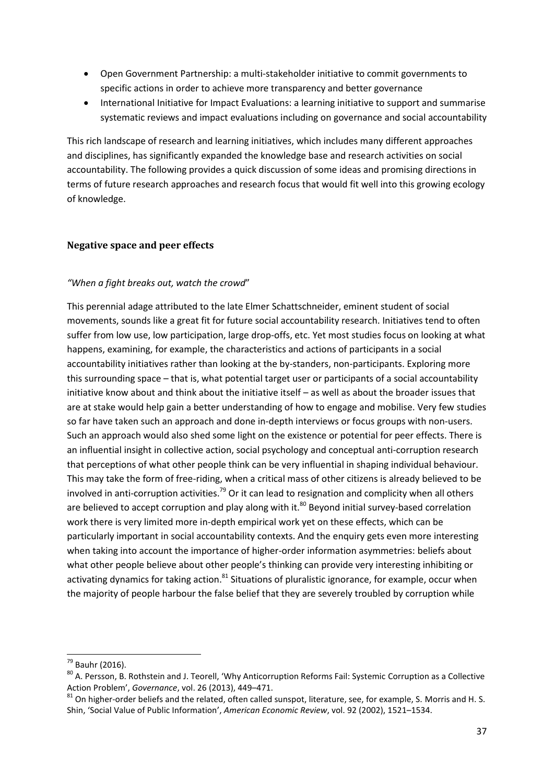- Open Government Partnership: a multi-stakeholder initiative to commit governments to specific actions in order to achieve more transparency and better governance
- International Initiative for Impact Evaluations: a learning initiative to support and summarise systematic reviews and impact evaluations including on governance and social accountability

This rich landscape of research and learning initiatives, which includes many different approaches and disciplines, has significantly expanded the knowledge base and research activities on social accountability. The following provides a quick discussion of some ideas and promising directions in terms of future research approaches and research focus that would fit well into this growing ecology of knowledge.

#### <span id="page-36-0"></span>**Negative space and peer effects**

#### *"When a fight breaks out, watch the crowd*"

This perennial adage attributed to the late Elmer Schattschneider, eminent student of social movements, sounds like a great fit for future social accountability research. Initiatives tend to often suffer from low use, low participation, large drop-offs, etc. Yet most studies focus on looking at what happens, examining, for example, the characteristics and actions of participants in a social accountability initiatives rather than looking at the by-standers, non-participants. Exploring more this surrounding space – that is, what potential target user or participants of a social accountability initiative know about and think about the initiative itself – as well as about the broader issues that are at stake would help gain a better understanding of how to engage and mobilise. Very few studies so far have taken such an approach and done in-depth interviews or focus groups with non-users. Such an approach would also shed some light on the existence or potential for peer effects. There is an influential insight in collective action, social psychology and conceptual anti-corruption research that perceptions of what other people think can be very influential in shaping individual behaviour. This may take the form of free-riding, when a critical mass of other citizens is already believed to be involved in anti-corruption activities.<sup>79</sup> Or it can lead to resignation and complicity when all others are believed to accept corruption and play along with it.<sup>80</sup> Beyond initial survey-based correlation work there is very limited more in-depth empirical work yet on these effects, which can be particularly important in social accountability contexts. And the enquiry gets even more interesting when taking into account the importance of higher-order information asymmetries: beliefs about what other people believe about other people's thinking can provide very interesting inhibiting or activating dynamics for taking action.<sup>81</sup> Situations of pluralistic ignorance, for example, occur when the majority of people harbour the false belief that they are severely troubled by corruption while

 $\overline{a}$ 

<sup>79</sup> Bauhr (2016).

<sup>&</sup>lt;sup>80</sup> A. Persson, B. Rothstein and J. Teorell, 'Why Anticorruption Reforms Fail: Systemic Corruption as a Collective Action Problem', *Governance*, vol. 26 (2013), 449–471.

 $81$  On higher-order beliefs and the related, often called sunspot, literature, see, for example, S. Morris and H. S. Shin, 'Social Value of Public Information', *American Economic Review*, vol. 92 (2002), 1521–1534.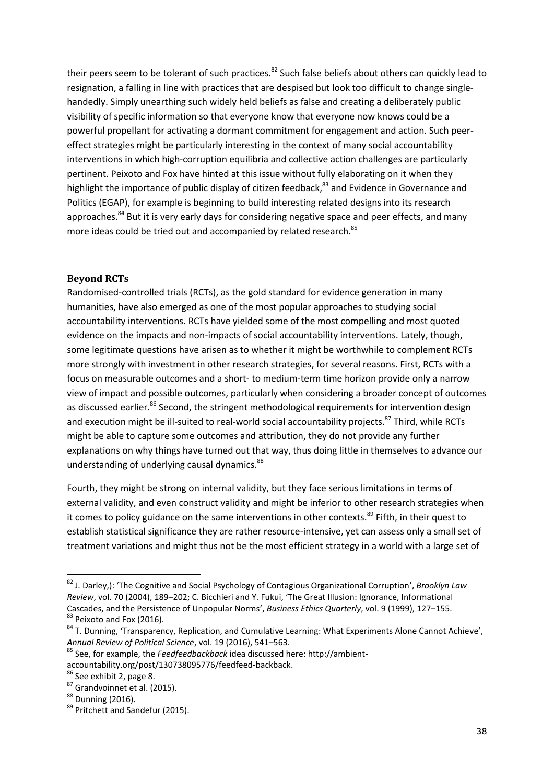their peers seem to be tolerant of such practices.<sup>82</sup> Such false beliefs about others can quickly lead to resignation, a falling in line with practices that are despised but look too difficult to change singlehandedly. Simply unearthing such widely held beliefs as false and creating a deliberately public visibility of specific information so that everyone know that everyone now knows could be a powerful propellant for activating a dormant commitment for engagement and action. Such peereffect strategies might be particularly interesting in the context of many social accountability interventions in which high-corruption equilibria and collective action challenges are particularly pertinent. Peixoto and Fox have hinted at this issue without fully elaborating on it when they highlight the importance of public display of citizen feedback,<sup>83</sup> and Evidence in Governance and Politics (EGAP), for example is beginning to build interesting related designs into its research approaches.<sup>84</sup> But it is very early days for considering negative space and peer effects, and many more ideas could be tried out and accompanied by related research.<sup>85</sup>

#### <span id="page-37-0"></span>**Beyond RCTs**

Randomised-controlled trials (RCTs), as the gold standard for evidence generation in many humanities, have also emerged as one of the most popular approaches to studying social accountability interventions. RCTs have yielded some of the most compelling and most quoted evidence on the impacts and non-impacts of social accountability interventions. Lately, though, some legitimate questions have arisen as to whether it might be worthwhile to complement RCTs more strongly with investment in other research strategies, for several reasons. First, RCTs with a focus on measurable outcomes and a short- to medium-term time horizon provide only a narrow view of impact and possible outcomes, particularly when considering a broader concept of outcomes as discussed earlier.<sup>86</sup> Second, the stringent methodological requirements for intervention design and execution might be ill-suited to real-world social accountability projects.<sup>87</sup> Third, while RCTs might be able to capture some outcomes and attribution, they do not provide any further explanations on why things have turned out that way, thus doing little in themselves to advance our understanding of underlying causal dynamics.<sup>88</sup>

Fourth, they might be strong on internal validity, but they face serious limitations in terms of external validity, and even construct validity and might be inferior to other research strategies when it comes to policy guidance on the same interventions in other contexts.<sup>89</sup> Fifth, in their quest to establish statistical significance they are rather resource-intensive, yet can assess only a small set of treatment variations and might thus not be the most efficient strategy in a world with a large set of

 $\overline{a}$ 

<sup>82</sup> J. Darley,): 'The Cognitive and Social Psychology of Contagious Organizational Corruption', *Brooklyn Law Review*, vol. 70 (2004), 189–202; C. Bicchieri and Y. Fukui, 'The Great Illusion: Ignorance, Informational Cascades, and the Persistence of Unpopular Norms', *Business Ethics Quarterly*, vol. 9 (1999), 127–155. 83 Peixoto and Fox (2016).

<sup>&</sup>lt;sup>84</sup> T. Dunning, 'Transparency, Replication, and Cumulative Learning: What Experiments Alone Cannot Achieve', *Annual Review of Political Science*, vol. 19 (2016), 541–563.

<sup>85</sup> See, for example, the *Feedfeedbackback* idea discussed here: http://ambientaccountability.org/post/130738095776/feedfeed-backback.

<sup>86</sup> See exhibit 2, page 8.

<sup>87</sup> Grandvoinnet et al. (2015).

<sup>88</sup> Dunning (2016).

<sup>89</sup> Pritchett and Sandefur (2015).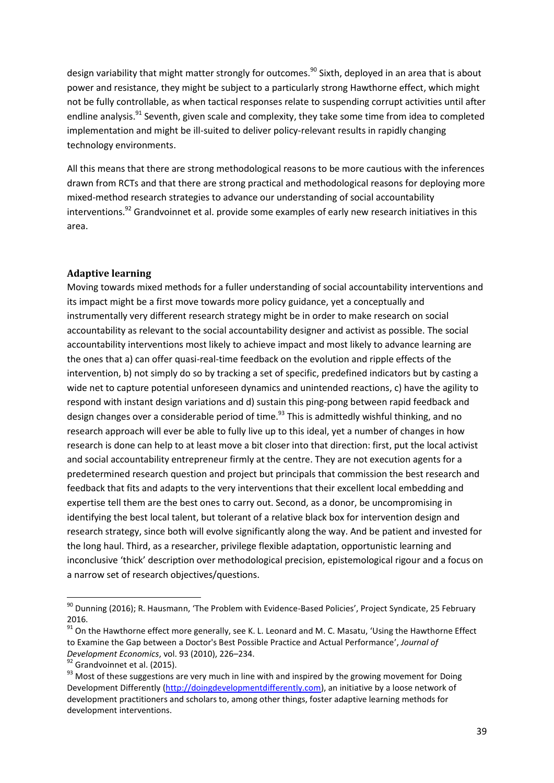design variability that might matter strongly for outcomes.<sup>90</sup> Sixth, deployed in an area that is about power and resistance, they might be subject to a particularly strong Hawthorne effect, which might not be fully controllable, as when tactical responses relate to suspending corrupt activities until after endline analysis.<sup>91</sup> Seventh, given scale and complexity, they take some time from idea to completed implementation and might be ill-suited to deliver policy-relevant results in rapidly changing technology environments.

All this means that there are strong methodological reasons to be more cautious with the inferences drawn from RCTs and that there are strong practical and methodological reasons for deploying more mixed-method research strategies to advance our understanding of social accountability interventions.<sup>92</sup> Grandvoinnet et al. provide some examples of early new research initiatives in this area.

#### <span id="page-38-0"></span>**Adaptive learning**

Moving towards mixed methods for a fuller understanding of social accountability interventions and its impact might be a first move towards more policy guidance, yet a conceptually and instrumentally very different research strategy might be in order to make research on social accountability as relevant to the social accountability designer and activist as possible. The social accountability interventions most likely to achieve impact and most likely to advance learning are the ones that a) can offer quasi-real-time feedback on the evolution and ripple effects of the intervention, b) not simply do so by tracking a set of specific, predefined indicators but by casting a wide net to capture potential unforeseen dynamics and unintended reactions, c) have the agility to respond with instant design variations and d) sustain this ping-pong between rapid feedback and design changes over a considerable period of time.<sup>93</sup> This is admittedly wishful thinking, and no research approach will ever be able to fully live up to this ideal, yet a number of changes in how research is done can help to at least move a bit closer into that direction: first, put the local activist and social accountability entrepreneur firmly at the centre. They are not execution agents for a predetermined research question and project but principals that commission the best research and feedback that fits and adapts to the very interventions that their excellent local embedding and expertise tell them are the best ones to carry out. Second, as a donor, be uncompromising in identifying the best local talent, but tolerant of a relative black box for intervention design and research strategy, since both will evolve significantly along the way. And be patient and invested for the long haul. Third, as a researcher, privilege flexible adaptation, opportunistic learning and inconclusive 'thick' description over methodological precision, epistemological rigour and a focus on a narrow set of research objectives/questions.

**.** 

 $^{90}$  Dunning (2016); R. Hausmann, 'The Problem with Evidence-Based Policies', Project Syndicate, 25 February 2016.

<sup>&</sup>lt;sup>91</sup> On the Hawthorne effect more generally, see K. L. Leonard and M. C. Masatu, 'Using the Hawthorne Effect to Examine the Gap between a Doctor's Best Possible Practice and Actual Performance', *Journal of Development Economics*, vol. 93 (2010), 226–234.

<sup>&</sup>lt;sup>92</sup> Grandvoinnet et al. (2015).

<sup>&</sup>lt;sup>93</sup> Most of these suggestions are very much in line with and inspired by the growing movement for Doing Development Differently [\(http://doingdevelopmentdifferently.com\)](http://doingdevelopmentdifferently.com/), an initiative by a loose network of development practitioners and scholars to, among other things, foster adaptive learning methods for development interventions.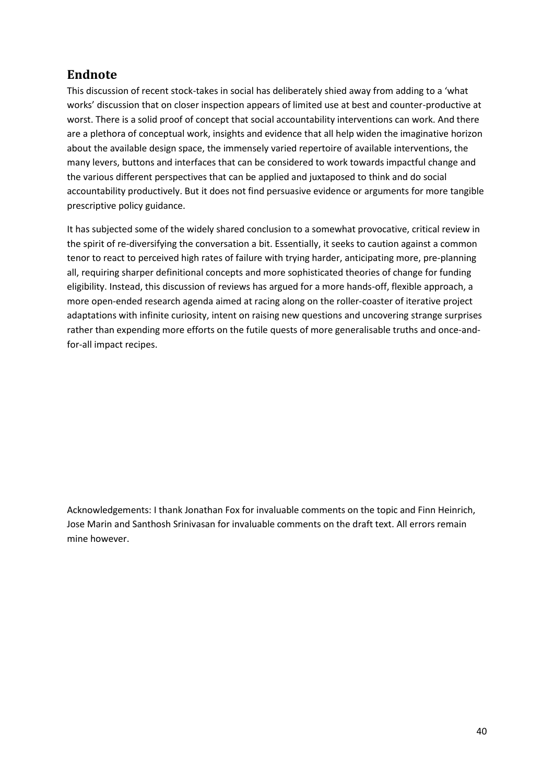# <span id="page-39-0"></span>**Endnote**

This discussion of recent stock-takes in social has deliberately shied away from adding to a 'what works' discussion that on closer inspection appears of limited use at best and counter-productive at worst. There is a solid proof of concept that social accountability interventions can work. And there are a plethora of conceptual work, insights and evidence that all help widen the imaginative horizon about the available design space, the immensely varied repertoire of available interventions, the many levers, buttons and interfaces that can be considered to work towards impactful change and the various different perspectives that can be applied and juxtaposed to think and do social accountability productively. But it does not find persuasive evidence or arguments for more tangible prescriptive policy guidance.

It has subjected some of the widely shared conclusion to a somewhat provocative, critical review in the spirit of re-diversifying the conversation a bit. Essentially, it seeks to caution against a common tenor to react to perceived high rates of failure with trying harder, anticipating more, pre-planning all, requiring sharper definitional concepts and more sophisticated theories of change for funding eligibility. Instead, this discussion of reviews has argued for a more hands-off, flexible approach, a more open-ended research agenda aimed at racing along on the roller-coaster of iterative project adaptations with infinite curiosity, intent on raising new questions and uncovering strange surprises rather than expending more efforts on the futile quests of more generalisable truths and once-andfor-all impact recipes.

Acknowledgements: I thank Jonathan Fox for invaluable comments on the topic and Finn Heinrich, Jose Marin and Santhosh Srinivasan for invaluable comments on the draft text. All errors remain mine however.